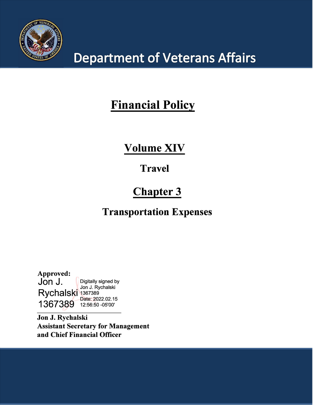

# **Department of Veterans Affairs**

# **Financial Policy**

# **Volume XIV**

# **Travel**

# **Chapter 3**

# **Transportation Expenses**

**Approved:** Digitally signed by<br>Jon J. Rychalski Rychalski 1367389 1367389 12:56:50 -05'00'

**Jon J. Rychalski Assistant Secretary for Management and Chief Financial Officer**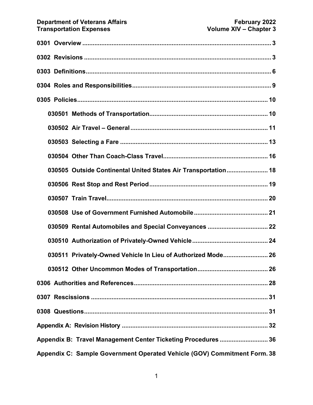| 030505 Outside Continental United States Air Transportation 18           |
|--------------------------------------------------------------------------|
|                                                                          |
|                                                                          |
|                                                                          |
|                                                                          |
|                                                                          |
| 030511 Privately-Owned Vehicle In Lieu of Authorized Mode 26             |
| 030512 Other Uncommon Modes of Transportation<br>26                      |
|                                                                          |
|                                                                          |
|                                                                          |
|                                                                          |
| Appendix B: Travel Management Center Ticketing Procedures  36            |
| Appendix C: Sample Government Operated Vehicle (GOV) Commitment Form. 38 |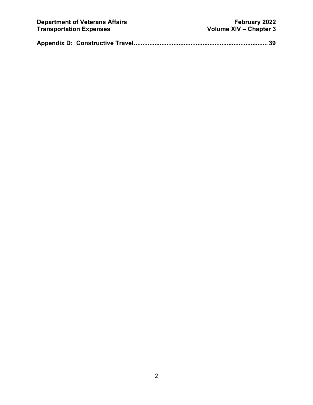|--|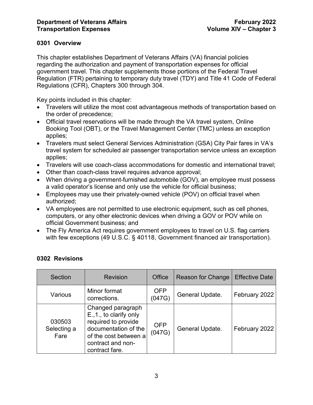# <span id="page-3-0"></span>**0301 Overview**

This chapter establishes Department of Veterans Affairs (VA) financial policies regarding the authorization and payment of transportation expenses for official government travel. This chapter supplements those portions of the Federal Travel Regulation (FTR) pertaining to temporary duty travel (TDY) and Title 41 Code of Federal Regulations (CFR), Chapters 300 through 304.

Key points included in this chapter:

- Travelers will utilize the most cost advantageous methods of transportation based on the order of precedence;
- Official travel reservations will be made through the VA travel system, Online Booking Tool (OBT), or the Travel Management Center (TMC) unless an exception applies;
- Travelers must select General Services Administration (GSA) City Pair fares in VA's travel system for scheduled air passenger transportation service unless an exception applies;
- Travelers will use coach-class accommodations for domestic and international travel;
- Other than coach-class travel requires advance approval;
- When driving a government-furnished automobile (GOV), an employee must possess a valid operator's license and only use the vehicle for official business;
- Employees may use their privately-owned vehicle (POV) on official travel when authorized;
- VA employees are not permitted to use electronic equipment, such as cell phones, computers, or any other electronic devices when driving a GOV or POV while on official Government business; and
- The Fly America Act requires government employees to travel on U.S. flag carriers with few exceptions (49 U.S.C. § 40118, Government financed air transportation).

| Section                       | <b>Revision</b>                                                                                                                                             | Office               | Reason for Change | <b>Effective Date</b> |
|-------------------------------|-------------------------------------------------------------------------------------------------------------------------------------------------------------|----------------------|-------------------|-----------------------|
| Various                       | Minor format<br>corrections.                                                                                                                                | <b>OFP</b><br>(047G) | General Update.   | February 2022         |
| 030503<br>Selecting a<br>Fare | Changed paragraph<br>E., 1., to clarify only<br>required to provide<br>documentation of the<br>of the cost between a<br>contract and non-<br>contract fare. | <b>OFP</b><br>(047G) | General Update.   | February 2022         |

# <span id="page-3-1"></span>**0302 Revisions**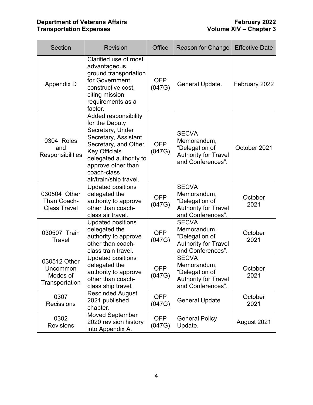# **Department of Veterans Affairs February 2022 Transportation Expenses Volume XIV – Chapter 3**

| <b>Section</b>                                         | <b>Revision</b>                                                                                                                                                                                                             | Office               | Reason for Change                                                                                 | <b>Effective Date</b> |
|--------------------------------------------------------|-----------------------------------------------------------------------------------------------------------------------------------------------------------------------------------------------------------------------------|----------------------|---------------------------------------------------------------------------------------------------|-----------------------|
| Appendix D                                             | Clarified use of most<br>advantageous<br>ground transportation<br>for Government<br>constructive cost,<br>citing mission<br>requirements as a<br>factor.                                                                    | <b>OFP</b><br>(047G) | General Update.                                                                                   | February 2022         |
| 0304 Roles<br>and<br>Responsibilities                  | Added responsibility<br>for the Deputy<br>Secretary, Under<br>Secretary, Assistant<br>Secretary, and Other<br><b>Key Officials</b><br>delegated authority to<br>approve other than<br>coach-class<br>air/train/ship travel. | <b>OFP</b><br>(047G) | <b>SECVA</b><br>Memorandum,<br>"Delegation of<br><b>Authority for Travel</b><br>and Conferences". | October 2021          |
| 030504 Other<br>Than Coach-<br><b>Class Travel</b>     | <b>Updated positions</b><br>delegated the<br>authority to approve<br>other than coach-<br>class air travel.                                                                                                                 | <b>OFP</b><br>(047G) | <b>SECVA</b><br>Memorandum,<br>"Delegation of<br><b>Authority for Travel</b><br>and Conferences". | October<br>2021       |
| 030507 Train<br>Travel                                 | <b>Updated positions</b><br>delegated the<br>authority to approve<br>other than coach-<br>class train travel.                                                                                                               | <b>OFP</b><br>(047G) | <b>SECVA</b><br>Memorandum,<br>"Delegation of<br><b>Authority for Travel</b><br>and Conferences". | October<br>2021       |
| 030512 Other<br>Uncommon<br>Modes of<br>Transportation | <b>Updated positions</b><br>delegated the<br>authority to approve<br>other than coach-<br>class ship travel.                                                                                                                | <b>OFP</b><br>(047G) | <b>SECVA</b><br>Memorandum,<br>"Delegation of<br><b>Authority for Travel</b><br>and Conferences". | October<br>2021       |
| 0307<br><b>Recissions</b>                              | <b>Rescinded August</b><br>2021 published<br>chapter.                                                                                                                                                                       | <b>OFP</b><br>(047G) | <b>General Update</b>                                                                             | October<br>2021       |
| 0302<br><b>Revisions</b>                               | <b>Moved September</b><br>2020 revision history<br>into Appendix A.                                                                                                                                                         | <b>OFP</b><br>(047G) | <b>General Policy</b><br>Update.                                                                  | August 2021           |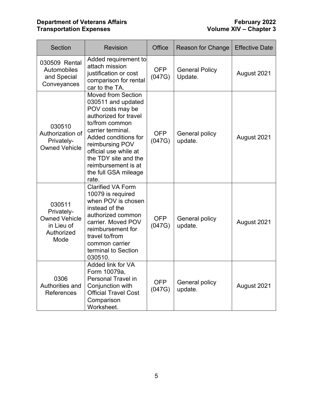# **Department of Veterans Affairs February 2022 Transportation Expenses Volume XIV – Chapter 3**

| Section                                                                          | <b>Revision</b>                                                                                                                                                                                                                                                                         | Office               | <b>Reason for Change</b>         | <b>Effective Date</b> |
|----------------------------------------------------------------------------------|-----------------------------------------------------------------------------------------------------------------------------------------------------------------------------------------------------------------------------------------------------------------------------------------|----------------------|----------------------------------|-----------------------|
| 030509 Rental<br>Automobiles<br>and Special<br>Conveyances                       | Added requirement to<br>attach mission<br>justification or cost<br>comparison for rental<br>car to the TA.                                                                                                                                                                              | <b>OFP</b><br>(047G) | <b>General Policy</b><br>Update. | August 2021           |
| 030510<br>Authorization of<br>Privately-<br><b>Owned Vehicle</b>                 | <b>Moved from Section</b><br>030511 and updated<br>POV costs may be<br>authorized for travel<br>to/from common<br>carrier terminal.<br>Added conditions for<br>reimbursing POV<br>official use while at<br>the TDY site and the<br>reimbursement is at<br>the full GSA mileage<br>rate. | <b>OFP</b><br>(047G) | General policy<br>update.        | August 2021           |
| 030511<br>Privately-<br><b>Owned Vehicle</b><br>in Lieu of<br>Authorized<br>Mode | <b>Clarified VA Form</b><br>10079 is required<br>when POV is chosen<br>instead of the<br>authorized common<br>carrier. Moved POV<br>reimbursement for<br>travel to/from<br>common carrier<br>terminal to Section<br>030510.                                                             | <b>OFP</b><br>(047G) | General policy<br>update.        | August 2021           |
| 0306<br>Authorities and<br>References                                            | Added link for VA<br>Form 10079a,<br><b>Personal Travel in</b><br>Conjunction with<br><b>Official Travel Cost</b><br>Comparison<br>Worksheet.                                                                                                                                           | <b>OFP</b><br>(047G) | General policy<br>update.        | August 2021           |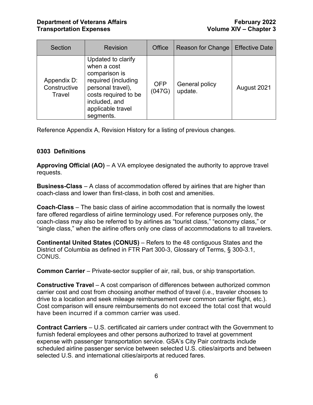| <b>Section</b>                        | <b>Revision</b>                                                                                                                                                           | Office               | Reason for Change         | <b>Effective Date</b> |
|---------------------------------------|---------------------------------------------------------------------------------------------------------------------------------------------------------------------------|----------------------|---------------------------|-----------------------|
| Appendix D:<br>Constructive<br>Travel | Updated to clarify<br>when a cost<br>comparison is<br>required (including<br>personal travel),<br>costs required to be<br>included, and<br>applicable travel<br>segments. | <b>OFP</b><br>(047G) | General policy<br>update. | August 2021           |

Reference Appendix A, Revision History for a listing of previous changes.

# <span id="page-6-0"></span>**0303 Definitions**

**Approving Official (AO)** – A VA employee designated the authority to approve travel requests.

**Business-Class** – A class of accommodation offered by airlines that are higher than coach-class and lower than first-class, in both cost and amenities.

**Coach-Class** – The basic class of airline accommodation that is normally the lowest fare offered regardless of airline terminology used. For reference purposes only, the coach-class may also be referred to by airlines as "tourist class," "economy class," or "single class," when the airline offers only one class of accommodations to all travelers.

**Continental United States (CONUS)** – Refers to the 48 contiguous States and the District of Columbia as defined in FTR Part 300-3, Glossary of Terms, § 300-3.1, CONUS.

**Common Carrier** – Private-sector supplier of air, rail, bus, or ship transportation.

**Constructive Travel** – A cost comparison of differences between authorized common carrier cost and cost from choosing another method of travel (i.e., traveler chooses to drive to a location and seek mileage reimbursement over common carrier flight, etc.). Cost comparison will ensure reimbursements do not exceed the total cost that would have been incurred if a common carrier was used.

**Contract Carriers** – U.S. certificated air carriers under contract with the Government to furnish federal employees and other persons authorized to travel at government expense with passenger transportation service. GSA's City Pair contracts include scheduled airline passenger service between selected U.S. cities/airports and between selected U.S. and international cities/airports at reduced fares.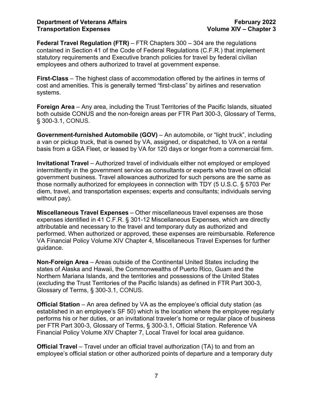**Federal Travel Regulation (FTR)** – FTR Chapters 300 – 304 are the regulations contained in Section 41 of the Code of Federal Regulations (C.F.R.) that implement statutory requirements and Executive branch policies for travel by federal civilian employees and others authorized to travel at government expense.

**First-Class** – The highest class of accommodation offered by the airlines in terms of cost and amenities. This is generally termed "first-class" by airlines and reservation systems.

**Foreign Area** – Any area, including the Trust Territories of the Pacific Islands, situated both outside CONUS and the non-foreign areas per FTR Part 300-3, Glossary of Terms, § 300-3.1, CONUS.

**Government-furnished Automobile (GOV)** – An automobile, or "light truck", including a van or pickup truck, that is owned by VA, assigned, or dispatched, to VA on a rental basis from a GSA Fleet, or leased by VA for 120 days or longer from a commercial firm.

**Invitational Travel** – Authorized travel of individuals either not employed or employed intermittently in the government service as consultants or experts who travel on official government business. Travel allowances authorized for such persons are the same as those normally authorized for employees in connection with TDY (5 U.S.C. § 5703 Per diem, travel, and transportation expenses; experts and consultants; individuals serving without pay).

**Miscellaneous Travel Expenses** – Other miscellaneous travel expenses are those expenses identified in 41 C.F.R. § 301-12 Miscellaneous Expenses, which are directly attributable and necessary to the travel and temporary duty as authorized and performed. When authorized or approved, these expenses are reimbursable. Reference VA Financial Policy Volume XIV Chapter 4, Miscellaneous Travel Expenses for further guidance.

**Non-Foreign Area** – Areas outside of the Continental United States including the states of Alaska and Hawaii, the Commonwealths of Puerto Rico, Guam and the Northern Mariana Islands, and the territories and possessions of the United States (excluding the Trust Territories of the Pacific Islands) as defined in FTR Part 300-3, Glossary of Terms, § 300-3.1, CONUS.

**Official Station** – An area defined by VA as the employee's official duty station (as established in an employee's SF 50) which is the location where the employee regularly performs his or her duties, or an invitational traveler's home or regular place of business per FTR Part 300-3, Glossary of Terms, § 300-3.1, Official Station. Reference VA Financial Policy Volume XIV Chapter 7, Local Travel for local area guidance.

**Official Travel** – Travel under an official travel authorization (TA) to and from an employee's official station or other authorized points of departure and a temporary duty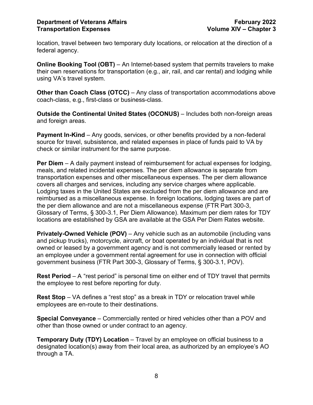location, travel between two temporary duty locations, or relocation at the direction of a federal agency.

**Online Booking Tool (OBT)** – An Internet-based system that permits travelers to make their own reservations for transportation (e.g., air, rail, and car rental) and lodging while using VA's travel system.

**Other than Coach Class (OTCC)** – Any class of transportation accommodations above coach-class, e.g., first-class or business-class.

**Outside the Continental United States (OCONUS)** – Includes both non-foreign areas and foreign areas.

**Payment In-Kind** – Any goods, services, or other benefits provided by a non-federal source for travel, subsistence, and related expenses in place of funds paid to VA by check or similar instrument for the same purpose.

**Per Diem** – A daily payment instead of reimbursement for actual expenses for lodging, meals, and related incidental expenses. The per diem allowance is separate from transportation expenses and other miscellaneous expenses. The per diem allowance covers all charges and services, including any service charges where applicable. Lodging taxes in the United States are excluded from the per diem allowance and are reimbursed as a miscellaneous expense. In foreign locations, lodging taxes are part of the per diem allowance and are not a miscellaneous expense (FTR Part 300-3, Glossary of Terms, § 300-3.1, Per Diem Allowance). Maximum per diem rates for TDY locations are established by GSA are available at the GSA Per Diem Rates website.

**Privately-Owned Vehicle (POV)** – Any vehicle such as an automobile (including vans and pickup trucks), motorcycle, aircraft, or boat operated by an individual that is not owned or leased by a government agency and is not commercially leased or rented by an employee under a government rental agreement for use in connection with official government business (FTR Part 300-3, Glossary of Terms, § 300-3.1, POV).

**Rest Period** – A "rest period" is personal time on either end of TDY travel that permits the employee to rest before reporting for duty.

**Rest Stop** – VA defines a "rest stop" as a break in TDY or relocation travel while employees are en-route to their destinations.

**Special Conveyance** – Commercially rented or hired vehicles other than a POV and other than those owned or under contract to an agency.

**Temporary Duty (TDY) Location** – Travel by an employee on official business to a designated location(s) away from their local area, as authorized by an employee's AO through a TA.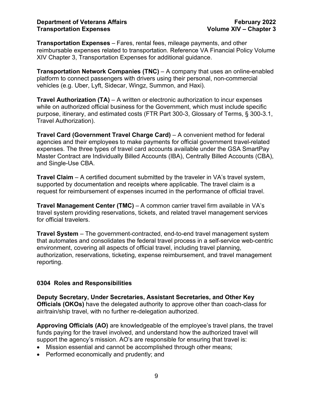**Transportation Expenses** – Fares, rental fees, mileage payments, and other reimbursable expenses related to transportation. Reference VA Financial Policy Volume XIV Chapter 3, Transportation Expenses for additional guidance.

**Transportation Network Companies (TNC)** – A company that uses an online-enabled platform to connect passengers with drivers using their personal, non-commercial vehicles (e.g. Uber, Lyft, Sidecar, Wingz, Summon, and Haxi).

**Travel Authorization (TA)** – A written or electronic authorization to incur expenses while on authorized official business for the Government, which must include specific purpose, itinerary, and estimated costs (FTR Part 300-3, Glossary of Terms, § 300-3.1, Travel Authorization).

**Travel Card (Government Travel Charge Card)** – A convenient method for federal agencies and their employees to make payments for official government travel-related expenses. The three types of travel card accounts available under the GSA SmartPay Master Contract are Individually Billed Accounts (IBA), Centrally Billed Accounts (CBA), and Single-Use CBA.

**Travel Claim** – A certified document submitted by the traveler in VA's travel system, supported by documentation and receipts where applicable. The travel claim is a request for reimbursement of expenses incurred in the performance of official travel.

**Travel Management Center (TMC)** – A common carrier travel firm available in VA's travel system providing reservations, tickets, and related travel management services for official travelers.

**Travel System** – The government-contracted, end-to-end travel management system that automates and consolidates the federal travel process in a self-service web-centric environment, covering all aspects of official travel, including travel planning, authorization, reservations, ticketing, expense reimbursement, and travel management reporting.

#### <span id="page-9-0"></span>**0304 Roles and Responsibilities**

**Deputy Secretary, Under Secretaries, Assistant Secretaries, and Other Key Officials (OKOs)** have the delegated authority to approve other than coach-class for air/train/ship travel, with no further re-delegation authorized.

**Approving Officials (AO)** are knowledgeable of the employee's travel plans, the travel funds paying for the travel involved, and understand how the authorized travel will support the agency's mission. AO's are responsible for ensuring that travel is:

- Mission essential and cannot be accomplished through other means;
- Performed economically and prudently; and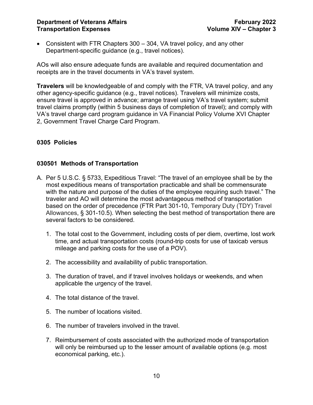• Consistent with FTR Chapters 300 – 304, VA travel policy, and any other Department-specific guidance (e.g., travel notices).

AOs will also ensure adequate funds are available and required documentation and receipts are in the travel documents in VA's travel system.

**Travelers** will be knowledgeable of and comply with the FTR, VA travel policy, and any other agency-specific guidance (e.g., travel notices). Travelers will minimize costs, ensure travel is approved in advance; arrange travel using VA's travel system; submit travel claims promptly (within 5 business days of completion of travel); and comply with VA's travel charge card program guidance in VA Financial Policy Volume XVI Chapter 2, Government Travel Charge Card Program.

# <span id="page-10-0"></span>**0305 Policies**

# <span id="page-10-1"></span>**030501 Methods of Transportation**

- A. Per 5 U.S.C. § 5733, Expeditious Travel: "The travel of an employee shall be by the most expeditious means of transportation practicable and shall be commensurate with the nature and purpose of the duties of the employee requiring such travel." The traveler and AO will determine the most advantageous method of transportation based on the order of precedence (FTR Part 301-10, Temporary Duty (TDY) Travel Allowances, § 301-10.5). When selecting the best method of transportation there are several factors to be considered.
	- 1. The total cost to the Government, including costs of per diem, overtime, lost work time, and actual transportation costs (round-trip costs for use of taxicab versus mileage and parking costs for the use of a POV).
	- 2. The accessibility and availability of public transportation.
	- 3. The duration of travel, and if travel involves holidays or weekends, and when applicable the urgency of the travel.
	- 4. The total distance of the travel.
	- 5. The number of locations visited.
	- 6. The number of travelers involved in the travel.
	- 7. Reimbursement of costs associated with the authorized mode of transportation will only be reimbursed up to the lesser amount of available options (e.g. most economical parking, etc.).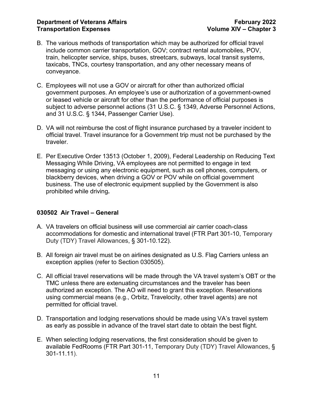- B. The various methods of transportation which may be authorized for official travel include common carrier transportation, GOV; contract rental automobiles, POV, train, helicopter service, ships, buses, streetcars, subways, local transit systems, taxicabs, TNCs, courtesy transportation, and any other necessary means of conveyance.
- C. Employees will not use a GOV or aircraft for other than authorized official government purposes. An employee's use or authorization of a government-owned or leased vehicle or aircraft for other than the performance of official purposes is subject to adverse personnel actions (31 U.S.C. § 1349, Adverse Personnel Actions, and 31 U.S.C. § 1344, Passenger Carrier Use).
- D. VA will not reimburse the cost of flight insurance purchased by a traveler incident to official travel. Travel insurance for a Government trip must not be purchased by the traveler.
- E. Per [Executive Order 13513 \(October 1,](https://www.gpo.gov/fdsys/pkg/FR-2009-10-06/pdf/E9-24203.pdf) 2009), Federal Leadership on Reducing Text Messaging While Driving, VA employees are not permitted to engage in text messaging or using any electronic equipment, such as cell phones, computers, or blackberry devices, when driving a GOV or POV while on official government business. The use of electronic equipment supplied by the Government is also prohibited while driving**.**

# <span id="page-11-0"></span>**030502 Air Travel – General**

- A. VA travelers on official business will use commercial air carrier coach-class accommodations for domestic and international travel (FTR Part 301-10, Temporary Duty (TDY) Travel Allowances, § 301-10.122).
- B. All foreign air travel must be on airlines designated as U.S. Flag Carriers unless an exception applies (refer to Section 030505).
- C. All official travel reservations will be made through the VA travel system's OBT or the TMC unless there are extenuating circumstances and the traveler has been authorized an exception. The AO will need to grant this exception. Reservations using commercial means (e.g., Orbitz, Travelocity, other travel agents) are not permitted for official travel.
- D. Transportation and lodging reservations should be made using VA's travel system as early as possible in advance of the travel start date to obtain the best flight.
- E. When selecting lodging reservations, the first consideration should be given to available FedRooms (FTR Part 301-11, Temporary Duty (TDY) Travel Allowances, § 301-11.11).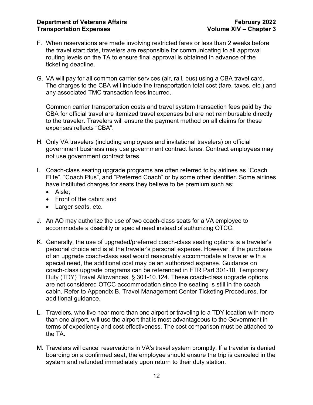- F. When reservations are made involving restricted fares or less than 2 weeks before the travel start date, travelers are responsible for communicating to all approval routing levels on the TA to ensure final approval is obtained in advance of the ticketing deadline.
- G. VA will pay for all common carrier services (air, rail, bus) using a CBA travel card. The charges to the CBA will include the transportation total cost (fare, taxes, etc.) and any associated TMC transaction fees incurred.

Common carrier transportation costs and travel system transaction fees paid by the CBA for official travel are itemized travel expenses but are not reimbursable directly to the traveler. Travelers will ensure the payment method on all claims for these expenses reflects "CBA".

- H. Only VA travelers (including employees and invitational travelers) on official government business may use government contract fares. Contract employees may not use government contract fares.
- I. Coach-class seating upgrade programs are often referred to by airlines as "Coach Elite", "Coach Plus", and "Preferred Coach" or by some other identifier. Some airlines have instituted charges for seats they believe to be premium such as:
	- Aisle;
	- Front of the cabin; and
	- Larger seats, etc.
- J. An AO may authorize the use of two coach-class seats for a VA employee to accommodate a disability or special need instead of authorizing OTCC.
- K. Generally, the use of upgraded/preferred coach-class seating options is a traveler's personal choice and is at the traveler's personal expense. However, if the purchase of an upgrade coach-class seat would reasonably accommodate a traveler with a special need, the additional cost may be an authorized expense. Guidance on coach-class upgrade programs can be referenced in FTR Part 301-10, Temporary Duty (TDY) Travel Allowances, § 301-10.124. These coach-class upgrade options are not considered OTCC accommodation since the seating is still in the coach cabin. Refer to Appendix B, Travel Management Center Ticketing Procedures, for additional guidance.
- L. Travelers, who live near more than one airport or traveling to a TDY location with more than one airport, will use the airport that is most advantageous to the Government in terms of expediency and cost-effectiveness. The cost comparison must be attached to the TA.
- M. Travelers will cancel reservations in VA's travel system promptly. If a traveler is denied boarding on a confirmed seat, the employee should ensure the trip is canceled in the system and refunded immediately upon return to their duty station.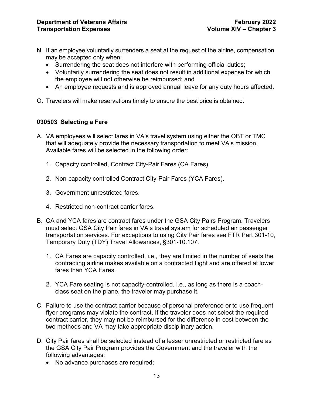- N. If an employee voluntarily surrenders a seat at the request of the airline, compensation may be accepted only when:
	- Surrendering the seat does not interfere with performing official duties;
	- Voluntarily surrendering the seat does not result in additional expense for which the employee will not otherwise be reimbursed; and
	- An employee requests and is approved annual leave for any duty hours affected.
- O. Travelers will make reservations timely to ensure the best price is obtained.

# <span id="page-13-0"></span>**030503 Selecting a Fare**

- A. VA employees will select fares in VA's travel system using either the OBT or TMC that will adequately provide the necessary transportation to meet VA's mission. Available fares will be selected in the following order:
	- 1. Capacity controlled, Contract City-Pair Fares (CA Fares).
	- 2. Non-capacity controlled Contract City-Pair Fares (YCA Fares).
	- 3. Government unrestricted fares.
	- 4. Restricted non-contract carrier fares.
- B. CA and YCA fares are contract fares under the GSA City Pairs Program. Travelers must select GSA City Pair fares in VA's travel system for scheduled air passenger transportation services. For exceptions to using City Pair fares see FTR Part 301-10, Temporary Duty (TDY) Travel Allowances, §301-10.107.
	- 1. CA Fares are capacity controlled, i.e., they are limited in the number of seats the contracting airline makes available on a contracted flight and are offered at lower fares than YCA Fares.
	- 2. YCA Fare seating is not capacity-controlled, i.e., as long as there is a coachclass seat on the plane, the traveler may purchase it.
- C. Failure to use the contract carrier because of personal preference or to use frequent flyer programs may violate the contract. If the traveler does not select the required contract carrier, they may not be reimbursed for the difference in cost between the two methods and VA may take appropriate disciplinary action.
- D. City Pair fares shall be selected instead of a lesser unrestricted or restricted fare as the GSA City Pair Program provides the Government and the traveler with the following advantages:
	- No advance purchases are required;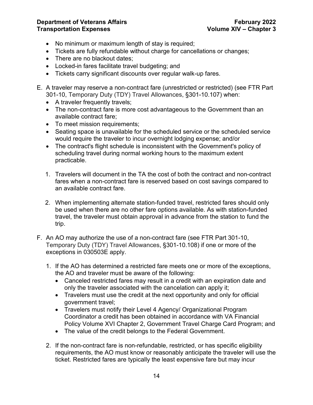- No minimum or maximum length of stay is required;
- Tickets are fully refundable without charge for cancellations or changes;
- There are no blackout dates;
- Locked-in fares facilitate travel budgeting; and
- Tickets carry significant discounts over regular walk-up fares.
- E. A traveler may reserve a non-contract fare (unrestricted or restricted) (see FTR Part 301-10, Temporary Duty (TDY) Travel Allowances, §301-10.107) when:
	- A traveler frequently travels:
	- The non-contract fare is more cost advantageous to the Government than an available contract fare;
	- To meet mission requirements;
	- Seating space is unavailable for the scheduled service or the scheduled service would require the traveler to incur overnight lodging expense; and/or
	- The contract's flight schedule is inconsistent with the Government's policy of scheduling travel during normal working hours to the maximum extent practicable.
	- 1. Travelers will document in the TA the cost of both the contract and non-contract fares when a non-contract fare is reserved based on cost savings compared to an available contract fare.
	- 2. When implementing alternate station-funded travel, restricted fares should only be used when there are no other fare options available. As with station-funded travel, the traveler must obtain approval in advance from the station to fund the trip.
- F. An AO may authorize the use of a non-contract fare (see FTR Part 301-10, Temporary Duty (TDY) Travel Allowances, §301-10.108) if one or more of the exceptions in 030503E apply.
	- 1. If the AO has determined a restricted fare meets one or more of the exceptions, the AO and traveler must be aware of the following:
		- Canceled restricted fares may result in a credit with an expiration date and only the traveler associated with the cancelation can apply it;
		- Travelers must use the credit at the next opportunity and only for official government travel;
		- Travelers must notify their Level 4 Agency/ Organizational Program Coordinator a credit has been obtained in accordance with VA Financial Policy Volume XVI Chapter 2, Government Travel Charge Card Program; and
		- The value of the credit belongs to the Federal Government.
	- 2. If the non-contract fare is non-refundable, restricted, or has specific eligibility requirements, the AO must know or reasonably anticipate the traveler will use the ticket. Restricted fares are typically the least expensive fare but may incur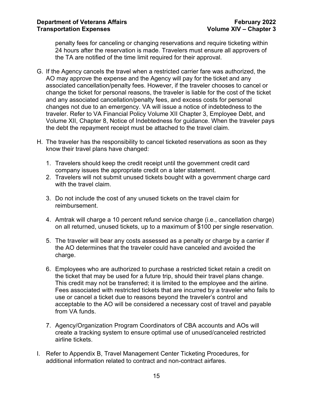penalty fees for canceling or changing reservations and require ticketing within 24 hours after the reservation is made. Travelers must ensure all approvers of the TA are notified of the time limit required for their approval.

- G. If the Agency cancels the travel when a restricted carrier fare was authorized, the AO may approve the expense and the Agency will pay for the ticket and any associated cancellation/penalty fees. However, if the traveler chooses to cancel or change the ticket for personal reasons, the traveler is liable for the cost of the ticket and any associated cancellation/penalty fees, and excess costs for personal changes not due to an emergency. VA will issue a notice of indebtedness to the traveler. Refer to VA Financial Policy Volume XII Chapter 3, Employee Debt, and Volume XII, Chapter 8, Notice of Indebtedness for guidance. When the traveler pays the debt the repayment receipt must be attached to the travel claim.
- H. The traveler has the responsibility to cancel ticketed reservations as soon as they know their travel plans have changed:
	- 1. Travelers should keep the credit receipt until the government credit card company issues the appropriate credit on a later statement.
	- 2. Travelers will not submit unused tickets bought with a government charge card with the travel claim.
	- 3. Do not include the cost of any unused tickets on the travel claim for reimbursement.
	- 4. Amtrak will charge a 10 percent refund service charge (i.e., cancellation charge) on all returned, unused tickets, up to a maximum of \$100 per single reservation.
	- 5. The traveler will bear any costs assessed as a penalty or charge by a carrier if the AO determines that the traveler could have canceled and avoided the charge.
	- 6. Employees who are authorized to purchase a restricted ticket retain a credit on the ticket that may be used for a future trip, should their travel plans change. This credit may not be transferred; it is limited to the employee and the airline. Fees associated with restricted tickets that are incurred by a traveler who fails to use or cancel a ticket due to reasons beyond the traveler's control and acceptable to the AO will be considered a necessary cost of travel and payable from VA funds.
	- 7. Agency/Organization Program Coordinators of CBA accounts and AOs will create a tracking system to ensure optimal use of unused/canceled restricted airline tickets.
- I. Refer to Appendix B, Travel Management Center Ticketing Procedures, for additional information related to contract and non-contract airfares.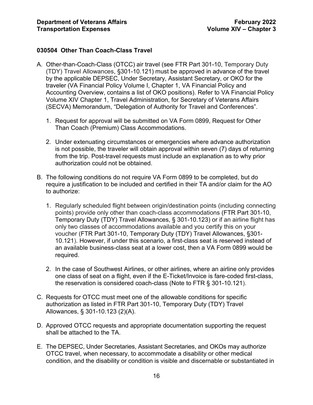#### <span id="page-16-0"></span>**030504 Other Than Coach-Class Travel**

- A. Other-than-Coach-Class (OTCC) air travel (see FTR Part 301-10, Temporary Duty (TDY) Travel Allowances, §301-10.121) must be approved in advance of the travel by the applicable DEPSEC, Under Secretary, Assistant Secretary, or OKO for the traveler (VA Financial Policy Volume I, Chapter 1, VA Financial Policy and Accounting Overview, contains a list of OKO positions). Refer to VA Financial Policy Volume XIV Chapter 1, Travel Administration, for Secretary of Veterans Affairs (SECVA) Memorandum, "Delegation of Authority for Travel and Conferences".
	- 1. Request for approval will be submitted on VA Form 0899, Request for Other Than Coach (Premium) Class Accommodations.
	- 2. Under extenuating circumstances or emergencies where advance authorization is not possible, the traveler will obtain approval within seven (7) days of returning from the trip. Post-travel requests must include an explanation as to why prior authorization could not be obtained.
- B. The following conditions do not require VA Form 0899 to be completed, but do require a justification to be included and certified in their TA and/or claim for the AO to authorize:
	- 1. Regularly scheduled flight between origin/destination points (including connecting points) provide only other than coach-class accommodations (FTR Part 301-10, Temporary Duty (TDY) Travel Allowances, § 301-10.123) or if an airline flight has only two classes of accommodations available and you certify this on your voucher (FTR Part 301-10, Temporary Duty (TDY) Travel Allowances, §301- 10.121). However, if under this scenario, a first-class seat is reserved instead of an available business-class seat at a lower cost, then a VA Form 0899 would be required.
	- 2. In the case of Southwest Airlines, or other airlines, where an airline only provides one class of seat on a flight, even if the E-Ticket/Invoice is fare-coded first-class, the reservation is considered coach-class (Note to FTR § 301-10.121).
- C. Requests for OTCC must meet one of the allowable conditions for specific authorization as listed in FTR Part 301-10, Temporary Duty (TDY) Travel Allowances, § 301-10.123 (2)(A).
- D. Approved OTCC requests and appropriate documentation supporting the request shall be attached to the TA.
- E. The DEPSEC, Under Secretaries, Assistant Secretaries, and OKOs may authorize OTCC travel, when necessary, to accommodate a disability or other medical condition, and the disability or condition is visible and discernable or substantiated in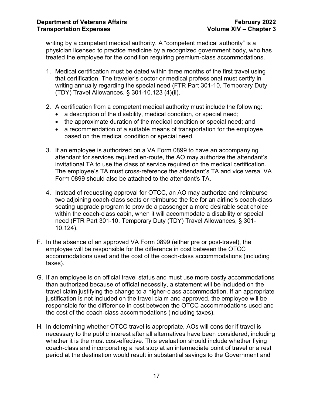writing by a competent medical authority. A "competent medical authority" is a physician licensed to practice medicine by a recognized government body, who has treated the employee for the condition requiring premium-class accommodations.

- 1. Medical certification must be dated within three months of the first travel using that certification. The traveler's doctor or medical professional must certify in writing annually regarding the special need (FTR Part 301-10, Temporary Duty (TDY) Travel Allowances, § 301-10.123 (4)(ii).
- 2. A certification from a competent medical authority must include the following:
	- a description of the disability, medical condition, or special need;
	- the approximate duration of the medical condition or special need; and
	- a recommendation of a suitable means of transportation for the employee based on the medical condition or special need.
- 3. If an employee is authorized on a VA Form 0899 to have an accompanying attendant for services required en-route, the AO may authorize the attendant's invitational TA to use the class of service required on the medical certification. The employee's TA must cross-reference the attendant's TA and vice versa. VA Form 0899 should also be attached to the attendant's TA.
- 4. Instead of requesting approval for OTCC, an AO may authorize and reimburse two adjoining coach-class seats or reimburse the fee for an airline's coach-class seating upgrade program to provide a passenger a more desirable seat choice within the coach-class cabin, when it will accommodate a disability or special need (FTR Part 301-10, Temporary Duty (TDY) Travel Allowances, § 301- 10.124).
- F. In the absence of an approved VA Form 0899 (either pre or post-travel), the employee will be responsible for the difference in cost between the OTCC accommodations used and the cost of the coach-class accommodations (including taxes).
- G. If an employee is on official travel status and must use more costly accommodations than authorized because of official necessity, a statement will be included on the travel claim justifying the change to a higher-class accommodation. If an appropriate justification is not included on the travel claim and approved, the employee will be responsible for the difference in cost between the OTCC accommodations used and the cost of the coach-class accommodations (including taxes).
- H. In determining whether OTCC travel is appropriate, AOs will consider if travel is necessary to the public interest after all alternatives have been considered, including whether it is the most cost-effective. This evaluation should include whether flying coach-class and incorporating a rest stop at an intermediate point of travel or a rest period at the destination would result in substantial savings to the Government and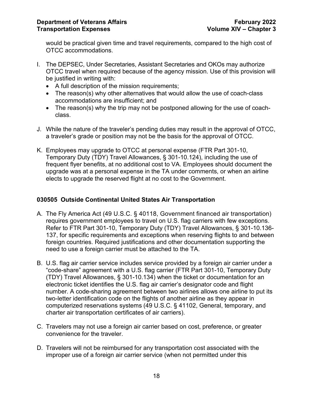would be practical given time and travel requirements, compared to the high cost of OTCC accommodations.

- I. The DEPSEC, Under Secretaries, Assistant Secretaries and OKOs may authorize OTCC travel when required because of the agency mission. Use of this provision will be justified in writing with:
	- A full description of the mission requirements;
	- The reason(s) why other alternatives that would allow the use of coach-class accommodations are insufficient; and
	- The reason(s) why the trip may not be postponed allowing for the use of coachclass.
- J. While the nature of the traveler's pending duties may result in the approval of OTCC, a traveler's grade or position may not be the basis for the approval of OTCC.
- K. Employees may upgrade to OTCC at personal expense (FTR Part 301-10, Temporary Duty (TDY) Travel Allowances, § 301-10.124), including the use of frequent flyer benefits, at no additional cost to VA. Employees should document the upgrade was at a personal expense in the TA under comments, or when an airline elects to upgrade the reserved flight at no cost to the Government.

# <span id="page-18-0"></span>**030505 Outside Continental United States Air Transportation**

- A. The Fly America Act (49 U.S.C. § 40118, Government financed air transportation) requires government employees to travel on U.S. flag carriers with few exceptions. Refer to FTR Part 301-10, Temporary Duty (TDY) Travel Allowances, § 301-10.136- 137, for specific requirements and exceptions when reserving flights to and between foreign countries. Required justifications and other documentation supporting the need to use a foreign carrier must be attached to the TA.
- B. U.S. flag air carrier service includes service provided by a foreign air carrier under a "code-share" agreement with a U.S. flag carrier (FTR Part 301-10, Temporary Duty (TDY) Travel Allowances, § 301-10.134) when the ticket or documentation for an electronic ticket identifies the U.S. flag air carrier's designator code and flight number. A code-sharing agreement between two airlines allows one airline to put its two-letter identification code on the flights of another airline as they appear in computerized reservations systems (49 U.S.C. § 41102, General, temporary, and charter air transportation certificates of air carriers).
- C. Travelers may not use a foreign air carrier based on cost, preference, or greater convenience for the traveler.
- D. Travelers will not be reimbursed for any transportation cost associated with the improper use of a foreign air carrier service (when not permitted under this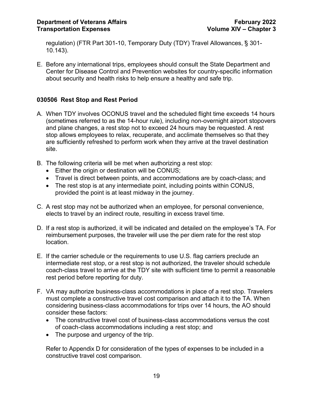regulation) (FTR Part 301-10, Temporary Duty (TDY) Travel Allowances, ̕§ 301- 10.143).

E. Before any international trips, employees should consult the State Department and Center for Disease Control and Prevention websites for country-specific information about security and health risks to help ensure a healthy and safe trip.

# <span id="page-19-0"></span>**030506 Rest Stop and Rest Period**

- A. When TDY involves OCONUS travel and the scheduled flight time exceeds 14 hours (sometimes referred to as the 14-hour rule), including non-overnight airport stopovers and plane changes, a rest stop not to exceed 24 hours may be requested. A rest stop allows employees to relax, recuperate, and acclimate themselves so that they are sufficiently refreshed to perform work when they arrive at the travel destination site.
- B. The following criteria will be met when authorizing a rest stop:
	- Either the origin or destination will be CONUS;
	- Travel is direct between points, and accommodations are by coach-class; and
	- The rest stop is at any intermediate point, including points within CONUS, provided the point is at least midway in the journey.
- C. A rest stop may not be authorized when an employee, for personal convenience, elects to travel by an indirect route, resulting in excess travel time.
- D. If a rest stop is authorized, it will be indicated and detailed on the employee's TA. For reimbursement purposes, the traveler will use the per diem rate for the rest stop location.
- E. If the carrier schedule or the requirements to use U.S. flag carriers preclude an intermediate rest stop, or a rest stop is not authorized, the traveler should schedule coach-class travel to arrive at the TDY site with sufficient time to permit a reasonable rest period before reporting for duty.
- F. VA may authorize business-class accommodations in place of a rest stop. Travelers must complete a constructive travel cost comparison and attach it to the TA. When considering business-class accommodations for trips over 14 hours, the AO should consider these factors:
	- The constructive travel cost of business-class accommodations versus the cost of coach-class accommodations including a rest stop; and
	- The purpose and urgency of the trip.

Refer to Appendix D for consideration of the types of expenses to be included in a constructive travel cost comparison.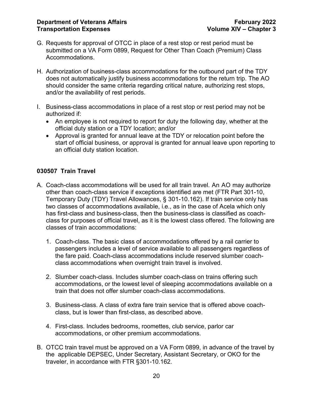- G. Requests for approval of OTCC in place of a rest stop or rest period must be submitted on a VA Form 0899, Request for Other Than Coach (Premium) Class Accommodations.
- H. Authorization of business-class accommodations for the outbound part of the TDY does not automatically justify business accommodations for the return trip. The AO should consider the same criteria regarding critical nature, authorizing rest stops, and/or the availability of rest periods.
- I. Business-class accommodations in place of a rest stop or rest period may not be authorized if:
	- An employee is not required to report for duty the following day, whether at the official duty station or a TDY location; and/or
	- Approval is granted for annual leave at the TDY or relocation point before the start of official business, or approval is granted for annual leave upon reporting to an official duty station location.

# <span id="page-20-0"></span>**030507 Train Travel**

- A. Coach-class accommodations will be used for all train travel. An AO may authorize other than coach-class service if exceptions identified are met (FTR Part 301-10, Temporary Duty (TDY) Travel Allowances, § 301-10.162). If train service only has two classes of accommodations available, i.e., as in the case of Acela which only has first-class and business-class, then the business-class is classified as coachclass for purposes of official travel, as it is the lowest class offered. The following are classes of train accommodations:
	- 1. Coach-class. The basic class of accommodations offered by a rail carrier to passengers includes a level of service available to all passengers regardless of the fare paid. Coach-class accommodations include reserved slumber coachclass accommodations when overnight train travel is involved.
	- 2. Slumber coach-class. Includes slumber coach-class on trains offering such accommodations, or the lowest level of sleeping accommodations available on a train that does not offer slumber coach-class accommodations.
	- 3. Business-class. A class of extra fare train service that is offered above coachclass, but is lower than first-class, as described above.
	- 4. First-class. Includes bedrooms, roomettes, club service, parlor car accommodations, or other premium accommodations.
- B. OTCC train travel must be approved on a VA Form 0899, in advance of the travel by the applicable DEPSEC, Under Secretary, Assistant Secretary, or OKO for the traveler, in accordance with FTR §301-10.162.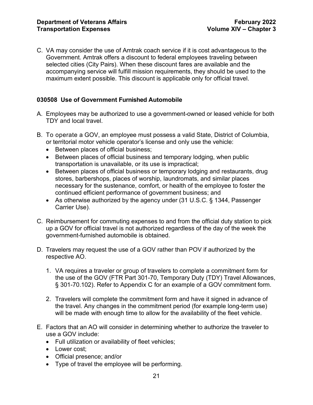C. VA may consider the use of Amtrak coach service if it is cost advantageous to the Government. Amtrak offers a discount to federal employees traveling between selected cities (City Pairs). When these discount fares are available and the accompanying service will fulfill mission requirements, they should be used to the maximum extent possible. This discount is applicable only for official travel.

#### <span id="page-21-0"></span>**030508 Use of Government Furnished Automobile**

- A. Employees may be authorized to use a government-owned or leased vehicle for both TDY and local travel.
- B. To operate a GOV, an employee must possess a valid State, District of Columbia, or territorial motor vehicle operator's license and only use the vehicle:
	- Between places of official business;
	- Between places of official business and temporary lodging, when public transportation is unavailable, or its use is impractical;
	- Between places of official business or temporary lodging and restaurants, drug stores, barbershops, places of worship, laundromats, and similar places necessary for the sustenance, comfort, or health of the employee to foster the continued efficient performance of government business; and
	- As otherwise authorized by the agency under (31 U.S.C. § 1344, Passenger Carrier Use).
- C. Reimbursement for commuting expenses to and from the official duty station to pick up a GOV for official travel is not authorized regardless of the day of the week the government-furnished automobile is obtained.
- D. Travelers may request the use of a GOV rather than POV if authorized by the respective AO.
	- 1. VA requires a traveler or group of travelers to complete a commitment form for the use of the GOV (FTR Part 301-70, Temporary Duty (TDY) Travel Allowances, § 301-70.102). Refer to Appendix C for an example of a GOV commitment form.
	- 2. Travelers will complete the commitment form and have it signed in advance of the travel. Any changes in the commitment period (for example long-term use) will be made with enough time to allow for the availability of the fleet vehicle.
- E. Factors that an AO will consider in determining whether to authorize the traveler to use a GOV include:
	- Full utilization or availability of fleet vehicles;
	- Lower cost:
	- Official presence; and/or
	- Type of travel the employee will be performing.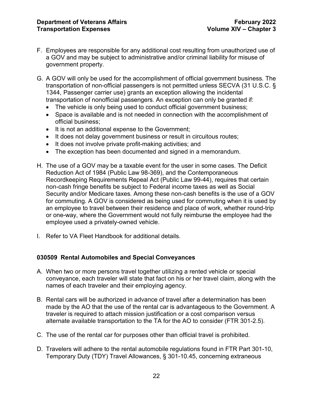- F. Employees are responsible for any additional cost resulting from unauthorized use of a GOV and may be subject to administrative and/or criminal liability for misuse of government property.
- G. A GOV will only be used for the accomplishment of official government business. The transportation of non-official passengers is not permitted unless SECVA (31 U.S.C. § 1344, Passenger carrier use) grants an exception allowing the incidental transportation of nonofficial passengers. An exception can only be granted if:
	- The vehicle is only being used to conduct official government business;
	- Space is available and is not needed in connection with the accomplishment of official business;
	- It is not an additional expense to the Government;
	- It does not delay government business or result in circuitous routes;
	- It does not involve private profit-making activities; and
	- The exception has been documented and signed in a memorandum.
- H. The use of a GOV may be a taxable event for the user in some cases. The Deficit Reduction Act of 1984 (Public Law 98-369), and the Contemporaneous Recordkeeping Requirements Repeal Act (Public Law 99-44), requires that certain non-cash fringe benefits be subject to Federal income taxes as well as Social Security and/or Medicare taxes. Among these non-cash benefits is the use of a GOV for commuting. A GOV is considered as being used for commuting when it is used by an employee to travel between their residence and place of work, whether round-trip or one-way, where the Government would not fully reimburse the employee had the employee used a privately-owned vehicle.
- I. Refer to VA Fleet Handbook for additional details.

#### <span id="page-22-0"></span>**030509 Rental Automobiles and Special Conveyances**

- A. When two or more persons travel together utilizing a rented vehicle or special conveyance, each traveler will state that fact on his or her travel claim, along with the names of each traveler and their employing agency.
- B. Rental cars will be authorized in advance of travel after a determination has been made by the AO that the use of the rental car is advantageous to the Government. A traveler is required to attach mission justification or a cost comparison versus alternate available transportation to the TA for the AO to consider (FTR 301-2.5).
- C. The use of the rental car for purposes other than official travel is prohibited.
- D. Travelers will adhere to the rental automobile regulations found in FTR Part 301-10, Temporary Duty (TDY) Travel Allowances, § 301-10.45, concerning extraneous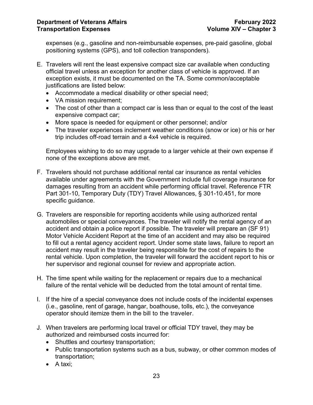expenses (e.g., gasoline and non-reimbursable expenses, pre-paid gasoline, global positioning systems (GPS), and toll collection transponders).

- E. Travelers will rent the least expensive compact size car available when conducting official travel unless an exception for another class of vehicle is approved. If an exception exists, it must be documented on the TA. Some common/acceptable justifications are listed below:
	- Accommodate a medical disability or other special need;
	- VA mission requirement;
	- The cost of other than a compact car is less than or equal to the cost of the least expensive compact car;
	- More space is needed for equipment or other personnel; and/or
	- The traveler experiences inclement weather conditions (snow or ice) or his or her trip includes off-road terrain and a 4x4 vehicle is required.

Employees wishing to do so may upgrade to a larger vehicle at their own expense if none of the exceptions above are met.

- F. Travelers should not purchase additional rental car insurance as rental vehicles available under agreements with the Government include full coverage insurance for damages resulting from an accident while performing official travel. Reference FTR Part 301-10, Temporary Duty (TDY) Travel Allowances, § 301-10.451, for more specific guidance.
- G. Travelers are responsible for reporting accidents while using authorized rental automobiles or special conveyances. The traveler will notify the rental agency of an accident and obtain a police report if possible. The traveler will prepare an (SF 91) Motor Vehicle Accident Report at the time of an accident and may also be required to fill out a rental agency accident report. Under some state laws, failure to report an accident may result in the traveler being responsible for the cost of repairs to the rental vehicle. Upon completion, the traveler will forward the accident report to his or her supervisor and regional counsel for review and appropriate action.
- H. The time spent while waiting for the replacement or repairs due to a mechanical failure of the rental vehicle will be deducted from the total amount of rental time.
- I. If the hire of a special conveyance does not include costs of the incidental expenses (i.e., gasoline, rent of garage, hangar, boathouse, tolls, etc.), the conveyance operator should itemize them in the bill to the traveler.
- J. When travelers are performing local travel or official TDY travel, they may be authorized and reimbursed costs incurred for:
	- Shuttles and courtesy transportation;
	- Public transportation systems such as a bus, subway, or other common modes of transportation;
	- A taxi;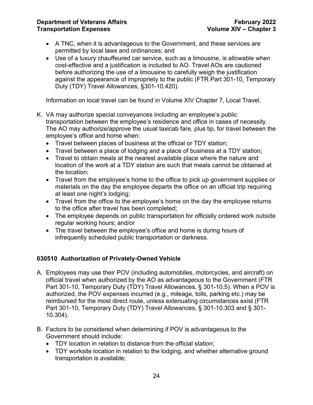- A TNC, when it is advantageous to the Government, and these services are permitted by local laws and ordinances; and
- Use of a luxury chauffeured car service, such as a limousine, is allowable when cost-effective and a justification is included to AO. Travel AOs are cautioned before authorizing the use of a limousine to carefully weigh the justification against the appearance of impropriety to the public (FTR Part 301-10, Temporary Duty (TDY) Travel Allowances, §301-10.420).

Information on local travel can be found in Volume XIV Chapter 7, Local Travel.

- K. VA may authorize special conveyances including an employee's public transportation between the employee's residence and office in cases of necessity. The AO may authorize/approve the usual taxicab fare, plus tip, for travel between the employee's office and home when:
	- Travel between places of business at the official or TDY station;
	- Travel between a place of lodging and a place of business at a TDY station;
	- Travel to obtain meals at the nearest available place where the nature and location of the work at a TDY station are such that meals cannot be obtained at the location;
	- Travel from the employee's home to the office to pick up government supplies or materials on the day the employee departs the office on an official trip requiring at least one night's lodging;
	- Travel from the office to the employee's home on the day the employee returns to the office after travel has been completed;
	- The employee depends on public transportation for officially ordered work outside regular working hours; and/or
	- The travel between the employee's office and home is during hours of infrequently scheduled public transportation or darkness.

# <span id="page-24-0"></span>**030510 Authorization of Privately-Owned Vehicle**

- A. Employees may use their POV (including automobiles, motorcycles, and aircraft) on official travel when authorized by the AO as advantageous to the Government (FTR Part 301-10, Temporary Duty (TDY) Travel Allowances, § 301-10.5). When a POV is authorized, the POV expenses incurred (e.g., mileage, tolls, parking etc.) may be reimbursed for the most direct route, unless extenuating circumstances exist (FTR Part 301-10, Temporary Duty (TDY) Travel Allowances, § 301-10.303 and § 301- 10.304).
- B. Factors to be considered when determining if POV is advantageous to the Government should include:
	- TDY location in relation to distance from the official station;
	- TDY worksite location in relation to the lodging, and whether alternative ground transportation is available;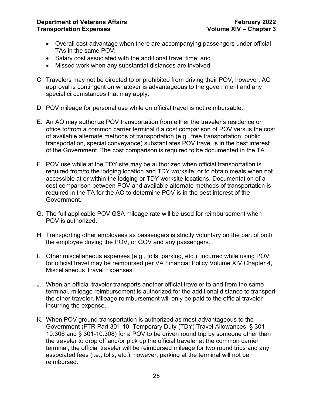- Overall cost advantage when there are accompanying passengers under official TAs in the same POV;
- Salary cost associated with the additional travel time; and
- Missed work when any substantial distances are involved.
- C. Travelers may not be directed to or prohibited from driving their POV, however, AO approval is contingent on whatever is advantageous to the government and any special circumstances that may apply.
- D. POV mileage for personal use while on official travel is not reimbursable.
- E. An AO may authorize POV transportation from either the traveler's residence or office to/from a common carrier terminal if a cost comparison of POV versus the cost of available alternate methods of transportation (e.g., free transportation, public transportation, special conveyance) substantiates POV travel is in the best interest of the Government. The cost comparison is required to be documented in the TA.
- F. POV use while at the TDY site may be authorized when official transportation is required from/to the lodging location and TDY worksite, or to obtain meals when not accessible at or within the lodging or TDY worksite locations. Documentation of a cost comparison between POV and available alternate methods of transportation is required in the TA for the AO to determine POV is in the best interest of the Government.
- G. The full applicable POV GSA mileage rate will be used for reimbursement when POV is authorized.
- H. Transporting other employees as passengers is strictly voluntary on the part of both the employee driving the POV, or GOV and any passengers.
- I. Other miscellaneous expenses (e.g., tolls, parking, etc.), incurred while using POV for official travel may be reimbursed per VA Financial Policy Volume [XIV Chapter](https://www.va.gov/finance/docs/VA-FinancialPolicyVolumeXIVChapter04.pdf) 4, [Miscellaneous Travel Expenses.](https://www.va.gov/finance/docs/VA-FinancialPolicyVolumeXIVChapter04.pdf)
- J. When an official traveler transports another official traveler to and from the same terminal, mileage reimbursement is authorized for the additional distance to transport the other traveler. Mileage reimbursement will only be paid to the official traveler incurring the expense.
- K. When POV ground transportation is authorized as most advantageous to the Government (FTR Part 301-10, Temporary Duty (TDY) Travel Allowances, § 301- 10.306 and § 301-10.308) for a POV to be driven round trip by someone other than the traveler to drop off and/or pick up the official traveler at the common carrier terminal, the official traveler will be reimbursed mileage for two round trips and any associated fees (i.e., tolls, etc.), however, parking at the terminal will not be reimbursed.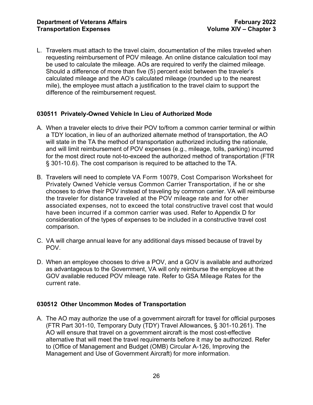L. Travelers must attach to the travel claim, documentation of the miles traveled when requesting reimbursement of POV mileage. An online distance calculation tool may be used to calculate the mileage. AOs are required to verify the claimed mileage. Should a difference of more than five (5) percent exist between the traveler's calculated mileage and the AO's calculated mileage (rounded up to the nearest mile), the employee must attach a justification to the travel claim to support the difference of the reimbursement request.

# <span id="page-26-0"></span>**030511 Privately-Owned Vehicle In Lieu of Authorized Mode**

- A. When a traveler elects to drive their POV to/from a common carrier terminal or within a TDY location, in lieu of an authorized alternate method of transportation, the AO will state in the TA the method of transportation authorized including the rationale, and will limit reimbursement of POV expenses (e.g., mileage, tolls, parking) incurred for the most direct route not-to-exceed the authorized method of transportation (FTR § 301-10.6). The cost comparison is required to be attached to the TA.
- B. Travelers will need to complete VA Form 10079, Cost Comparison Worksheet for Privately Owned Vehicle versus Common Carrier Transportation, if he or she chooses to drive their POV instead of traveling by common carrier. VA will reimburse the traveler for distance traveled at the POV mileage rate and for other associated expenses, not to exceed the total constructive travel cost that would have been incurred if a common carrier was used. Refer to Appendix D for consideration of the types of expenses to be included in a constructive travel cost comparison.
- C. VA will charge annual leave for any additional days missed because of travel by POV.
- D. When an employee chooses to drive a POV, and a GOV is available and authorized as advantageous to the Government, VA will only reimburse the employee at the GOV available reduced POV mileage rate. Refer to GSA Mileage Rates for the current rate.

#### <span id="page-26-1"></span>**030512 Other Uncommon Modes of Transportation**

A. The AO may authorize the use of a government aircraft for travel for official purposes (FTR Part 301-10, Temporary Duty (TDY) Travel Allowances, § 301-10.261). The AO will ensure that travel on a government aircraft is the most cost-effective alternative that will meet the travel requirements before it may be authorized. Refer to (Office of Management and Budget (OMB) Circular A-126, Improving the Management and Use of Government Aircraft) for more information.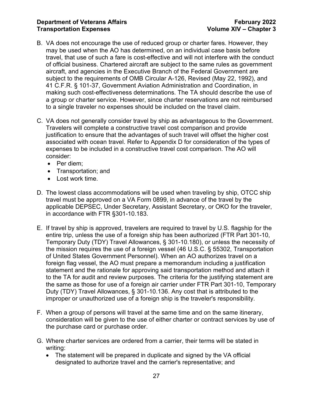- B. VA does not encourage the use of reduced group or charter fares. However, they may be used when the AO has determined, on an individual case basis before travel, that use of such a fare is cost-effective and will not interfere with the conduct of official business. Chartered aircraft are subject to the same rules as government aircraft, and agencies in the Executive Branch of the Federal Government are subject to the requirements of [OMB Circular A-126,](https://www.gsa.gov/cdnstatic/OMB_Circular_A-126.pdf) Revised (May 22, 1992), and 41 C.F.R. § 101-37, Government Aviation Administration and Coordination, in making such cost-effectiveness determinations. The TA should describe the use of a group or charter service. However, since charter reservations are not reimbursed to a single traveler no expenses should be included on the travel claim.
- C. VA does not generally consider travel by ship as advantageous to the Government. Travelers will complete a constructive travel cost comparison and provide justification to ensure that the advantages of such travel will offset the higher cost associated with ocean travel. Refer to Appendix D for consideration of the types of expenses to be included in a constructive travel cost comparison. The AO will consider:
	- Per diem:
	- Transportation; and
	- Lost work time.
- D. The lowest class accommodations will be used when traveling by ship, OTCC ship travel must be approved on a VA Form 0899, in advance of the travel by the applicable DEPSEC, Under Secretary, Assistant Secretary, or OKO for the traveler, in accordance with FTR §301-10.183.
- E. If travel by ship is approved, travelers are required to travel by U.S. flagship for the entire trip, unless the use of a foreign ship has been authorized (FTR Part 301-10, Temporary Duty (TDY) Travel Allowances, § 301-10.180), or unless the necessity of the mission requires the use of a foreign vessel (46 U.S.C. § 55302, Transportation of United States Government Personnel). When an AO authorizes travel on a foreign flag vessel, the AO must prepare a memorandum including a justification statement and the rationale for approving said transportation method and attach it to the TA for audit and review purposes. The criteria for the justifying statement are the same as those for use of a foreign air carrier under FTR Part 301-10, Temporary Duty (TDY) Travel Allowances, § 301-10.136. Any cost that is attributed to the improper or unauthorized use of a foreign ship is the traveler's responsibility.
- F. When a group of persons will travel at the same time and on the same itinerary, consideration will be given to the use of either charter or contract services by use of the purchase card or purchase order.
- G. Where charter services are ordered from a carrier, their terms will be stated in writing:
	- The statement will be prepared in duplicate and signed by the VA official designated to authorize travel and the carrier's representative; and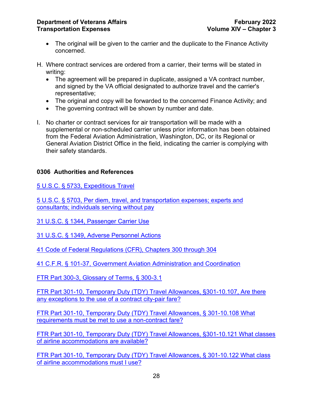- The original will be given to the carrier and the duplicate to the Finance Activity concerned.
- H. Where contract services are ordered from a carrier, their terms will be stated in writing:
	- The agreement will be prepared in duplicate, assigned a VA contract number, and signed by the VA official designated to authorize travel and the carrier's representative;
	- The original and copy will be forwarded to the concerned Finance Activity; and
	- The governing contract will be shown by number and date.
- I. No charter or contract services for air transportation will be made with a supplemental or non-scheduled carrier unless prior information has been obtained from the Federal Aviation Administration, Washington, DC, or its Regional or General Aviation District Office in the field, indicating the carrier is complying with their safety standards.

# <span id="page-28-0"></span>**0306 Authorities and References**

[5 U.S.C. § 5733, Expeditious Travel](https://www.gpo.gov/fdsys/pkg/USCODE-2011-title5/pdf/USCODE-2011-title5-partIII-subpartD-chap57-subchapII-sec5733.pdf)

[5 U.S.C. § 5703, Per diem, travel, and transportation expenses; experts and](https://www.gpo.gov/fdsys/pkg/USCODE-2011-title5/pdf/USCODE-2011-title5-partIII-subpartD-chap57-subchapI-sec5703.pdf)  [consultants; individuals serving without pay](https://www.gpo.gov/fdsys/pkg/USCODE-2011-title5/pdf/USCODE-2011-title5-partIII-subpartD-chap57-subchapI-sec5703.pdf)

31 U.S.C. [§ 1344, Passenger Carrier Use](https://www.gpo.gov/fdsys/pkg/USCODE-2011-title31/pdf/USCODE-2011-title31-subtitleII-chap13-subchapIII-sec1344.pdf)

[31 U.S.C. § 1349, Adverse Personnel Actions](https://www.gpo.gov/fdsys/pkg/USCODE-2011-title31/pdf/USCODE-2011-title31-subtitleII-chap13-subchapIII-sec1349.pdf)

[41 Code of Federal Regulations \(CFR\), Chapters 300 through 304](https://www.ecfr.gov/cgi-bin/text-idx?SID=9f51a9e3c4810fddcc69b1ef9b622011&mc=true&tpl=/ecfrbrowse/Title41/41cfrv4_02.tpl#30100)

[41 C.F.R. § 101-37, Government Aviation Administration and Coordination](https://www.govinfo.gov/content/pkg/CFR-2019-title41-vol2/pdf/CFR-2019-title41-vol2-sec101-37-000.pdf)

[FTR Part 300-3, Glossary of Terms, § 300-3.1](https://www.govinfo.gov/content/pkg/CFR-2016-title41-vol4/pdf/CFR-2016-title41-vol4-sec300-3-1.pdf)

[FTR Part 301-10, Temporary Duty \(TDY\) Travel Allowances, §301-10.107, Are there](https://www.govinfo.gov/content/pkg/CFR-2012-title41-vol4/pdf/CFR-2012-title41-vol4-sec301-10-107.pdf)  [any exceptions to the use of a contract city-pair fare?](https://www.govinfo.gov/content/pkg/CFR-2012-title41-vol4/pdf/CFR-2012-title41-vol4-sec301-10-107.pdf)

[FTR Part 301-10, Temporary Duty \(TDY\) Travel Allowances, § 301-10.108 What](https://www.govinfo.gov/content/pkg/CFR-2011-title41-vol4/pdf/CFR-2011-title41-vol4-sec301-10-108.pdf)  [requirements must be met to use a non-contract fare?](https://www.govinfo.gov/content/pkg/CFR-2011-title41-vol4/pdf/CFR-2011-title41-vol4-sec301-10-108.pdf)

[FTR Part 301-10, Temporary Duty \(TDY\) Travel Allowances, §301-10.121 What classes](https://www.govinfo.gov/content/pkg/CFR-2019-title41-vol4/pdf/CFR-2019-title41-vol4-sec301-10-121.pdf)  [of airline accommodations are available?](https://www.govinfo.gov/content/pkg/CFR-2019-title41-vol4/pdf/CFR-2019-title41-vol4-sec301-10-121.pdf)

[FTR Part 301-10, Temporary Duty \(TDY\) Travel Allowances, § 301-10.122 What class](https://www.govinfo.gov/content/pkg/CFR-2005-title41-vol4/pdf/CFR-2005-title41-vol4-sec301-10-122.pdf)  [of airline accommodations must I use?](https://www.govinfo.gov/content/pkg/CFR-2005-title41-vol4/pdf/CFR-2005-title41-vol4-sec301-10-122.pdf)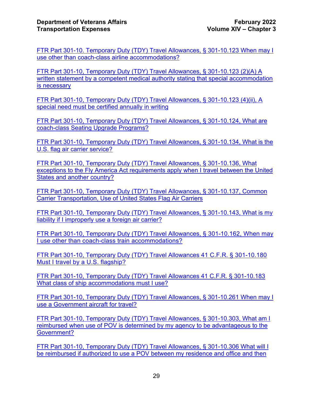[FTR Part 301-10. Temporary Duty \(TDY\) Travel Allowances, § 301-10.123 When may I](https://www.govinfo.gov/content/pkg/CFR-2012-title41-vol4/pdf/CFR-2012-title41-vol4-sec301-10-123.pdf)  [use other than coach-class airline accommodations?](https://www.govinfo.gov/content/pkg/CFR-2012-title41-vol4/pdf/CFR-2012-title41-vol4-sec301-10-123.pdf)

[FTR Part 301-10, Temporary Duty \(TDY\) Travel Allowances, § 301-10.123 \(2\)\(A\) A](https://www.govinfo.gov/content/pkg/CFR-2012-title41-vol4/pdf/CFR-2012-title41-vol4-sec301-10-123.pdf)  [written statement by a competent medical authority stating that special accommodation](https://www.govinfo.gov/content/pkg/CFR-2012-title41-vol4/pdf/CFR-2012-title41-vol4-sec301-10-123.pdf)  [is necessary](https://www.govinfo.gov/content/pkg/CFR-2012-title41-vol4/pdf/CFR-2012-title41-vol4-sec301-10-123.pdf)

[FTR Part 301-10, Temporary Duty \(TDY\) Travel Allowances, § 301-10.123 \(4\)\(ii\), A](https://www.govinfo.gov/content/pkg/CFR-2019-title41-vol4/pdf/CFR-2019-title41-vol4-sec301-10-123.pdf)  [special need must be certified annually in writing](https://www.govinfo.gov/content/pkg/CFR-2019-title41-vol4/pdf/CFR-2019-title41-vol4-sec301-10-123.pdf)

FTR Part 301-10, Temporary Duty (TDY) Travel Allowances, § 301-10.124, What are [coach-class Seating Upgrade Programs?](https://www.govinfo.gov/content/pkg/CFR-2012-title41-vol4/pdf/CFR-2012-title41-vol4-sec301-10-124.pdf)

[FTR Part 301-10, Temporary Duty \(TDY\) Travel Allowances, § 301-10.134, What is the](https://www.govinfo.gov/content/pkg/CFR-2011-title41-vol4/pdf/CFR-2011-title41-vol4-sec301-10-134.pdf)  [U.S. flag air carrier service?](https://www.govinfo.gov/content/pkg/CFR-2011-title41-vol4/pdf/CFR-2011-title41-vol4-sec301-10-134.pdf)

[FTR Part 301-10, Temporary Duty \(TDY\) Travel Allowances, § 301-10.136, What](https://www.govinfo.gov/content/pkg/CFR-2016-title41-vol4/pdf/CFR-2016-title41-vol4-sec301-10-136.pdf)  [exceptions to the Fly America Act requirements apply when I travel between the United](https://www.govinfo.gov/content/pkg/CFR-2016-title41-vol4/pdf/CFR-2016-title41-vol4-sec301-10-136.pdf)  [States and another country?](https://www.govinfo.gov/content/pkg/CFR-2016-title41-vol4/pdf/CFR-2016-title41-vol4-sec301-10-136.pdf)

[FTR Part 301-10, Temporary Duty \(TDY\) Travel Allowances, § 301-10.137, Common](https://www.govinfo.gov/content/pkg/CFR-2019-title41-vol4/pdf/CFR-2019-title41-vol4-sec301-10-136.pdf)  [Carrier Transportation, Use of United States Flag Air Carriers](https://www.govinfo.gov/content/pkg/CFR-2019-title41-vol4/pdf/CFR-2019-title41-vol4-sec301-10-136.pdf)

[FTR Part 301-10, Temporary Duty \(TDY\) Travel Allowances,](https://www.govinfo.gov/content/pkg/CFR-2019-title41-vol4/pdf/CFR-2019-title41-vol4-sec301-10-143.pdf) ̕§ 301-10.143, What is my [liability if I improperly use a foreign air carrier?](https://www.govinfo.gov/content/pkg/CFR-2019-title41-vol4/pdf/CFR-2019-title41-vol4-sec301-10-143.pdf)

[FTR Part 301-10, Temporary Duty \(TDY\) Travel Allowances,](https://www.govinfo.gov/content/pkg/CFR-2019-title41-vol4/pdf/CFR-2019-title41-vol4-sec301-10-162.pdf) § 301-10.162, When may [I use other than coach-class train accommodations?](https://www.govinfo.gov/content/pkg/CFR-2019-title41-vol4/pdf/CFR-2019-title41-vol4-sec301-10-162.pdf)

[FTR Part 301-10, Temporary Duty \(TDY\) Travel Allowances](https://www.govinfo.gov/content/pkg/CFR-2003-title41-vol4/pdf/CFR-2003-title41-vol4-sec301-10-180.pdf) 41 C.F.R. § 301-10.180 [Must I travel by a U.S. flagship?](https://www.govinfo.gov/content/pkg/CFR-2003-title41-vol4/pdf/CFR-2003-title41-vol4-sec301-10-180.pdf)

[FTR Part 301-10, Temporary Duty \(TDY\) Travel Allowances 41 C.F.R. § 301-10.183](https://www.govinfo.gov/content/pkg/CFR-2012-title41-vol4/pdf/CFR-2012-title41-vol4-sec301-10-183.pdf)  [What class of ship accommodations must I use?](https://www.govinfo.gov/content/pkg/CFR-2012-title41-vol4/pdf/CFR-2012-title41-vol4-sec301-10-183.pdf)

[FTR Part 301-10, Temporary Duty \(TDY\) Travel Allowances, § 301-10.261 When may I](https://www.govinfo.gov/content/pkg/CFR-2012-title41-vol4/pdf/CFR-2012-title41-vol4-sec301-10-261.pdf)  [use a Government aircraft for travel?](https://www.govinfo.gov/content/pkg/CFR-2012-title41-vol4/pdf/CFR-2012-title41-vol4-sec301-10-261.pdf)

[FTR Part 301-10, Temporary Duty \(TDY\) Travel Allowances, § 301-10.303, What am I](https://www.govinfo.gov/content/pkg/CFR-2019-title41-vol4/pdf/CFR-2019-title41-vol4-sec301-10-303.pdf)  [reimbursed when use of POV is determined by my agency to be advantageous](https://www.govinfo.gov/content/pkg/CFR-2019-title41-vol4/pdf/CFR-2019-title41-vol4-sec301-10-303.pdf) to the [Government?](https://www.govinfo.gov/content/pkg/CFR-2019-title41-vol4/pdf/CFR-2019-title41-vol4-sec301-10-303.pdf)

[FTR Part 301-10, Temporary Duty \(TDY\) Travel Allowances, § 301-10.306 What will I](https://www.govinfo.gov/content/pkg/CFR-2019-title41-vol4/pdf/CFR-2019-title41-vol4-sec301-10-306.pdf)  [be reimbursed if authorized to use a POV between my residence and office and then](https://www.govinfo.gov/content/pkg/CFR-2019-title41-vol4/pdf/CFR-2019-title41-vol4-sec301-10-306.pdf)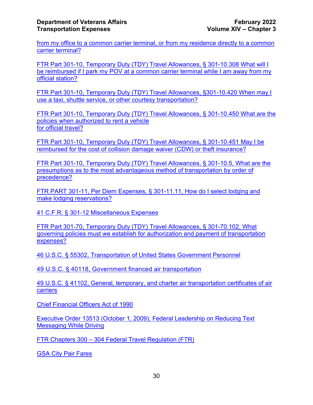[from my office to a common carrier terminal, or from my residence directly to a common](https://www.govinfo.gov/content/pkg/CFR-2019-title41-vol4/pdf/CFR-2019-title41-vol4-sec301-10-306.pdf)  [carrier terminal?](https://www.govinfo.gov/content/pkg/CFR-2019-title41-vol4/pdf/CFR-2019-title41-vol4-sec301-10-306.pdf)

[FTR Part 301-10, Temporary Duty \(TDY\) Travel Allowances, § 301-10.308 What will I](https://www.govinfo.gov/content/pkg/CFR-2019-title41-vol4/pdf/CFR-2019-title41-vol4-sec301-10-308.pdf)  [be reimbursed if I park my POV at a common carrier terminal while I am away from my](https://www.govinfo.gov/content/pkg/CFR-2019-title41-vol4/pdf/CFR-2019-title41-vol4-sec301-10-308.pdf)  [official station?](https://www.govinfo.gov/content/pkg/CFR-2019-title41-vol4/pdf/CFR-2019-title41-vol4-sec301-10-308.pdf)

[FTR Part 301-10, Temporary Duty \(TDY\) Travel Allowances, §301-10.420 When may I](https://www.govinfo.gov/content/pkg/CFR-2016-title41-vol4/pdf/CFR-2016-title41-vol4-sec301-10-420.pdf)  use a taxi, shuttle service, [or other courtesy transportation?](https://www.govinfo.gov/content/pkg/CFR-2016-title41-vol4/pdf/CFR-2016-title41-vol4-sec301-10-420.pdf)

[FTR Part 301-10, Temporary Duty \(TDY\) Travel Allowances, § 301-10.450 What are the](https://www.govinfo.gov/content/pkg/CFR-2016-title41-vol4/pdf/CFR-2016-title41-vol4-sec301-10-450.pdf)  [policies when authorized to rent a vehicle](https://www.govinfo.gov/content/pkg/CFR-2016-title41-vol4/pdf/CFR-2016-title41-vol4-sec301-10-450.pdf) [for official travel?](https://www.govinfo.gov/content/pkg/CFR-2016-title41-vol4/pdf/CFR-2016-title41-vol4-sec301-10-450.pdf)

[FTR Part 301-10, Temporary Duty \(TDY\) Travel Allowances, § 301-10.451 May I be](https://www.govinfo.gov/content/pkg/CFR-2012-title41-vol4/pdf/CFR-2012-title41-vol4-sec301-10-451.pdf)  [reimbursed for the cost of collision damage waiver](https://www.govinfo.gov/content/pkg/CFR-2012-title41-vol4/pdf/CFR-2012-title41-vol4-sec301-10-451.pdf) (CDW) or theft insurance?

[FTR Part 301-10, Temporary Duty \(TDY\) Travel Allowances, § 301-10.5, What are the](https://www.govinfo.gov/content/pkg/CFR-2016-title41-vol4/pdf/CFR-2016-title41-vol4-sec301-10-5.pdf)  [presumptions as to the most advantageous method of transportation by order of](https://www.govinfo.gov/content/pkg/CFR-2016-title41-vol4/pdf/CFR-2016-title41-vol4-sec301-10-5.pdf)  [precedence?](https://www.govinfo.gov/content/pkg/CFR-2016-title41-vol4/pdf/CFR-2016-title41-vol4-sec301-10-5.pdf)

[FTR PART 301-11, Per Diem Expenses, § 301-11.11, How do I select lodging and](https://www.govinfo.gov/content/pkg/CFR-2019-title41-vol4/pdf/CFR-2019-title41-vol4-sec301-11-11.pdf)  [make lodging reservations?](https://www.govinfo.gov/content/pkg/CFR-2019-title41-vol4/pdf/CFR-2019-title41-vol4-sec301-11-11.pdf)

[41 C.F.R. § 301-12 Miscellaneous Expenses](https://www.govinfo.gov/content/pkg/CFR-2012-title41-vol4/pdf/CFR-2012-title41-vol4-sec301-12-1.pdf)

[FTR Part 301-70, Temporary Duty \(TDY\) Travel Allowances, § 301-70.102, What](https://www.govinfo.gov/content/pkg/CFR-2016-title41-vol4/pdf/CFR-2016-title41-vol4-sec301-70-102.pdf)  [governing policies must we establish for authorization and payment of transportation](https://www.govinfo.gov/content/pkg/CFR-2016-title41-vol4/pdf/CFR-2016-title41-vol4-sec301-70-102.pdf)  [expenses?](https://www.govinfo.gov/content/pkg/CFR-2016-title41-vol4/pdf/CFR-2016-title41-vol4-sec301-70-102.pdf)

[46 U.S.C. § 55302, Transportation of United States Government Personnel](https://www.gpo.gov/fdsys/pkg/USCODE-2008-title46/html/USCODE-2008-title46-subtitleV-partD-chap553-subchapI-sec55302.htm)

[49 U.S.C. § 40118, Government financed air transportation](https://www.gpo.gov/fdsys/pkg/USCODE-2011-title49/pdf/USCODE-2011-title49-subtitleVII-partA-subparti-chap401-sec40118.pdf)

[49 U.S.C. § 41102, General, temporary, and charter air transportation certificates of air](https://www.gpo.gov/fdsys/pkg/USCODE-2011-title49/pdf/USCODE-2011-title49-subtitleVII-partA-subpartii-chap411-sec41102.pdf)  [carriers](https://www.gpo.gov/fdsys/pkg/USCODE-2011-title49/pdf/USCODE-2011-title49-subtitleVII-partA-subpartii-chap411-sec41102.pdf)

[Chief Financial Officers Act of 1990](https://www.congress.gov/bill/101st-congress/house-bill/5687)

[Executive Order 13513 \(October 1,](https://www.gpo.gov/fdsys/pkg/FR-2009-10-06/pdf/E9-24203.pdf) 2009), Federal Leadership on Reducing [Text](http://edocket.access.gpo.gov/2009/pdf/E9-24203.pdf)  [Messaging](http://edocket.access.gpo.gov/2009/pdf/E9-24203.pdf) While Driving

FTR Chapters 300 – [304 Federal Travel Regulation \(FTR\)](https://www.gsa.gov/policy-regulations/regulations/federal-travel-regulation-ftr)

**[GSA City Pair Fares](https://cpsearch.fas.gsa.gov/cpsearch/search.do)**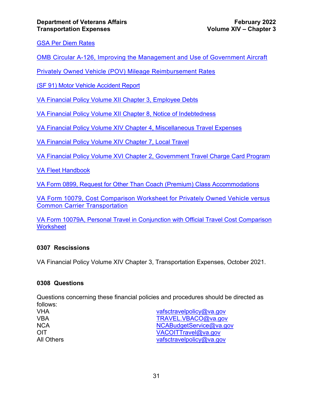[GSA Per Diem Rates](https://www.gsa.gov/travel/plan-book/per-diem-rates/per-diem-rates-lookup)

[OMB Circular A-126, Improving the Management and Use of Government Aircraft](https://www.whitehouse.gov/omb/circulars_a126)

[Privately Owned Vehicle \(POV\) Mileage Reimbursement Rates](http://www.gsa.gov/portal/content/100715)

[\(SF 91\) Motor Vehicle Accident Report](https://www.gsa.gov/forms-library/motor-vehicle-accident-report)

[VA Financial Policy Volume XII Chapter 3, Employee Debts](https://www.va.gov/finance/docs/VA-FinancialPolicyVolumeXIIChapter03.pdf)

[VA Financial Policy Volume XII Chapter 8, Notice of Indebtedness](https://www.va.gov/finance/docs/VA-FinancialPolicyVolumeXIIChapter08.pdf)

[VA Financial Policy Volume XIV Chapter 4, Miscellaneous Travel Expenses](https://www.va.gov/finance/docs/VA-FinancialPolicyVolumeXIVChapter04.pdf)

[VA Financial Policy Volume XIV Chapter 7, Local Travel](https://www.va.gov/finance/docs/VA-FinancialPolicyVolumeXIVChapter07.pdf)

[VA Financial Policy Volume XVI Chapter 2, Government Travel Charge Card Program](https://www.va.gov/finance/docs/VA-FinancialPolicyVolumeXVIChapter02.pdf)

[VA Fleet Handbook](https://www.va.gov/vapubs/viewPublication.asp?Pub_ID=680&FType=2)

VA Form 0899, Request for Other [Than Coach \(Premium\) Class Accommodations](http://vaww.va.gov/vaforms/va/pdf/VA0899.pdf)

[VA Form 10079, Cost Comparison Worksheet for Privately Owned Vehicle versus](http://vaww.va.gov/vaforms/va/pdf/VA10079.pdf)  [Common Carrier Transportation](http://vaww.va.gov/vaforms/va/pdf/VA10079.pdf)

[VA Form 10079A, Personal Travel in Conjunction with Official Travel Cost Comparison](https://vaww.va.gov/vaforms/va/pdf/VA10079a.pdf)  **[Worksheet](https://vaww.va.gov/vaforms/va/pdf/VA10079a.pdf)** 

#### <span id="page-31-0"></span>**0307 Rescissions**

VA Financial Policy Volume XIV Chapter 3, Transportation Expenses, October 2021.

#### <span id="page-31-1"></span>**0308 Questions**

Questions concerning these financial policies and procedures should be directed as follows:

| vafsctravelpolicy@va.gov |
|--------------------------|
| TRAVEL.VBACO@va.gov      |
| NCABudgetService@va.gov  |
| VACOITTravel@va.gov      |
| vafsctravelpolicy@va.gov |
|                          |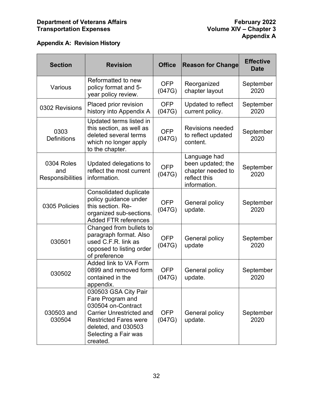<span id="page-32-0"></span>

| <b>Section</b>                               | <b>Revision</b>                                                                                                                                                                              | <b>Office</b>        | <b>Reason for Change</b>                                                               | <b>Effective</b><br><b>Date</b> |
|----------------------------------------------|----------------------------------------------------------------------------------------------------------------------------------------------------------------------------------------------|----------------------|----------------------------------------------------------------------------------------|---------------------------------|
| Various                                      | Reformatted to new<br>policy format and 5-<br>year policy review.                                                                                                                            | <b>OFP</b><br>(047G) | Reorganized<br>chapter layout                                                          | September<br>2020               |
| 0302 Revisions                               | Placed prior revision<br>history into Appendix A                                                                                                                                             | <b>OFP</b><br>(047G) | Updated to reflect<br>current policy.                                                  | September<br>2020               |
| 0303<br><b>Definitions</b>                   | Updated terms listed in<br>this section, as well as<br>deleted several terms<br>which no longer apply<br>to the chapter.                                                                     | <b>OFP</b><br>(047G) | <b>Revisions needed</b><br>to reflect updated<br>content.                              | September<br>2020               |
| 0304 Roles<br>and<br><b>Responsibilities</b> | Updated delegations to<br>reflect the most current<br>information.                                                                                                                           | <b>OFP</b><br>(047G) | Language had<br>been updated; the<br>chapter needed to<br>reflect this<br>information. | September<br>2020               |
| 0305 Policies                                | <b>Consolidated duplicate</b><br>policy guidance under<br>this section. Re-<br>organized sub-sections.<br><b>Added FTR references</b>                                                        | <b>OFP</b><br>(047G) | General policy<br>update.                                                              | September<br>2020               |
| 030501                                       | Changed from bullets to<br>paragraph format. Also<br>used C.F.R. link as<br>opposed to listing order<br>of preference                                                                        | <b>OFP</b><br>(047G) | General policy<br>update                                                               | September<br>2020               |
| 030502                                       | Added link to VA Form<br>0899 and removed form<br>contained in the<br>appendix.                                                                                                              | <b>OFP</b><br>(047G) | General policy<br>update.                                                              | September<br>2020               |
| 030503 and<br>030504                         | 030503 GSA City Pair<br>Fare Program and<br>030504 on-Contract<br><b>Carrier Unrestricted and</b><br><b>Restricted Fares were</b><br>deleted, and 030503<br>Selecting a Fair was<br>created. | OFP<br>(047G)        | General policy<br>update.                                                              | September<br>2020               |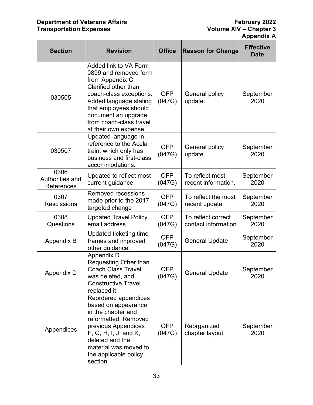# **Department of Veterans Affairs February 2022 Transportation Expenses Volume XIV – Chapter 3**

| <b>Section</b>                        | <b>Revision</b>                                                                                                                                                                                                                                     | <b>Office</b>        | <b>Reason for Change</b>                   | <b>Effective</b><br><b>Date</b> |
|---------------------------------------|-----------------------------------------------------------------------------------------------------------------------------------------------------------------------------------------------------------------------------------------------------|----------------------|--------------------------------------------|---------------------------------|
| 030505                                | Added link to VA Form<br>0899 and removed form<br>from Appendix C.<br>Clarified other than<br>coach-class exceptions.<br>Added language stating<br>that employees should<br>document an upgrade<br>from coach-class travel<br>at their own expense. | <b>OFP</b><br>(047G) | <b>General policy</b><br>update.           | September<br>2020               |
| 030507                                | Updated language in<br>reference to the Acela<br>train, which only has<br>business and first-class<br>accommodations.                                                                                                                               | <b>OFP</b><br>(047G) | General policy<br>update.                  | September<br>2020               |
| 0306<br>Authorities and<br>References | Updated to reflect most<br>current guidance                                                                                                                                                                                                         | <b>OFP</b><br>(047G) | To reflect most<br>recent information.     | September<br>2020               |
| 0307<br><b>Rescissions</b>            | <b>Removed recessions</b><br>made prior to the 2017<br>targeted change                                                                                                                                                                              | <b>OFP</b><br>(047G) | To reflect the most<br>recent update.      | September<br>2020               |
| 0308<br>Questions                     | <b>Updated Travel Policy</b><br>email address.                                                                                                                                                                                                      | <b>OFP</b><br>(047G) | To reflect correct<br>contact information. | September<br>2020               |
| Appendix B                            | Updated ticketing time<br>frames and improved<br>other guidance.                                                                                                                                                                                    | <b>OFP</b><br>(047G) | <b>General Update</b>                      | September<br>2020               |
| Appendix D                            | Appendix D<br>Requesting Other than<br><b>Coach Class Travel</b><br>was deleted, and<br><b>Constructive Travel</b><br>replaced it.                                                                                                                  | <b>OFP</b><br>(047G) | <b>General Update</b>                      | September<br>2020               |
| Appendices                            | Reordered appendices<br>based on appearance<br>in the chapter and<br>reformatted. Removed<br>previous Appendices<br>F, G, H, I, J, and K,<br>deleted and the<br>material was moved to<br>the applicable policy<br>section.                          | OFP<br>(047G)        | Reorganized<br>chapter layout              | September<br>2020               |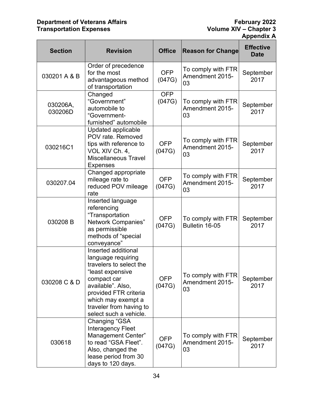# **Department of Veterans Affairs February 2022 Transportation Expenses Volume XIV – Chapter 3**

| <b>Section</b>      | <b>Revision</b>                                                                                                                                                                                                                  | <b>Office</b>        | <b>Reason for Change</b>                    | <b>Effective</b><br><b>Date</b> |
|---------------------|----------------------------------------------------------------------------------------------------------------------------------------------------------------------------------------------------------------------------------|----------------------|---------------------------------------------|---------------------------------|
| 030201 A & B        | Order of precedence<br>for the most<br>advantageous method<br>of transportation                                                                                                                                                  | <b>OFP</b><br>(047G) | To comply with FTR<br>Amendment 2015-<br>03 | September<br>2017               |
| 030206A,<br>030206D | Changed<br>"Government"<br>automobile to<br>"Government-<br>furnished" automobile                                                                                                                                                | <b>OFP</b><br>(047G) | To comply with FTR<br>Amendment 2015-<br>03 | September<br>2017               |
| 030216C1            | <b>Updated applicable</b><br>POV rate. Removed<br>tips with reference to<br>VOL XIV Ch. 4,<br><b>Miscellaneous Travel</b><br><b>Expenses</b>                                                                                     | <b>OFP</b><br>(047G) | To comply with FTR<br>Amendment 2015-<br>03 | September<br>2017               |
| 030207.04           | Changed appropriate<br>mileage rate to<br>reduced POV mileage<br>rate                                                                                                                                                            | <b>OFP</b><br>(047G) | To comply with FTR<br>Amendment 2015-<br>03 | September<br>2017               |
| 030208B             | Inserted language<br>referencing<br>"Transportation<br><b>Network Companies"</b><br>as permissible<br>methods of "special<br>conveyance"                                                                                         | <b>OFP</b><br>(047G) | To comply with FTR<br>Bulletin 16-05        | September<br>2017               |
| 030208 C & D        | Inserted additional<br>language requiring<br>travelers to select the<br>"least expensive<br>compact car<br>available". Also,<br>provided FTR criteria<br>which may exempt a<br>traveler from having to<br>select such a vehicle. | <b>OFP</b><br>(047G) | To comply with FTR<br>Amendment 2015-<br>03 | September<br>2017               |
| 030618              | Changing "GSA<br><b>Interagency Fleet</b><br>Management Center"<br>to read "GSA Fleet".<br>Also, changed the<br>lease period from 30<br>days to 120 days.                                                                        | <b>OFP</b><br>(047G) | To comply with FTR<br>Amendment 2015-<br>03 | September<br>2017               |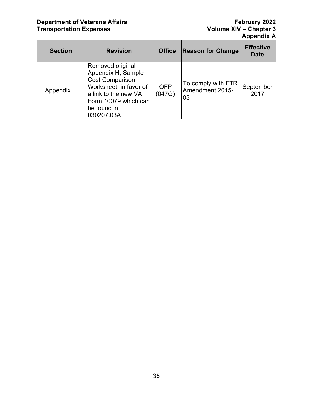# **Department of Veterans Affairs February 2022 Transportation Expenses Volume XIV – Chapter 3**

| <b>Section</b> | <b>Revision</b>                                                                                                                                                         | <b>Office</b>        | <b>Reason for Change</b>                    | <b>Effective</b><br><b>Date</b> |
|----------------|-------------------------------------------------------------------------------------------------------------------------------------------------------------------------|----------------------|---------------------------------------------|---------------------------------|
| Appendix H     | Removed original<br>Appendix H, Sample<br><b>Cost Comparison</b><br>Worksheet, in favor of<br>a link to the new VA<br>Form 10079 which can<br>be found in<br>030207.03A | <b>OFP</b><br>(047G) | To comply with FTR<br>Amendment 2015-<br>03 | September<br>2017               |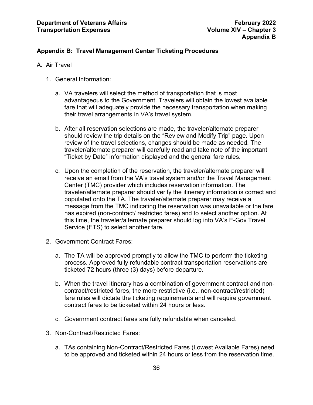#### <span id="page-36-0"></span>**Appendix B: Travel Management Center Ticketing Procedures**

- A. Air Travel
	- 1. General Information:
		- a. VA travelers will select the method of transportation that is most advantageous to the Government. Travelers will obtain the lowest available fare that will adequately provide the necessary transportation when making their travel arrangements in VA's travel system.
		- b. After all reservation selections are made, the traveler/alternate preparer should review the trip details on the "Review and Modify Trip" page. Upon review of the travel selections, changes should be made as needed. The traveler/alternate preparer will carefully read and take note of the important "Ticket by Date" information displayed and the general fare rules.
		- c. Upon the completion of the reservation, the traveler/alternate preparer will receive an email from the VA's travel system and/or the Travel Management Center (TMC) provider which includes reservation information. The traveler/alternate preparer should verify the itinerary information is correct and populated onto the TA. The traveler/alternate preparer may receive a message from the TMC indicating the reservation was unavailable or the fare has expired (non-contract/ restricted fares) and to select another option. At this time, the traveler/alternate preparer should log into VA's E-Gov Travel Service (ETS) to select another fare.
	- 2. Government Contract Fares:
		- a. The TA will be approved promptly to allow the TMC to perform the ticketing process. Approved fully refundable contract transportation reservations are ticketed 72 hours (three (3) days) before departure.
		- b. When the travel itinerary has a combination of government contract and noncontract/restricted fares, the more restrictive (i.e., non-contract/restricted) fare rules will dictate the ticketing requirements and will require government contract fares to be ticketed within 24 hours or less.
		- c. Government contract fares are fully refundable when canceled.
	- 3. Non-Contract/Restricted Fares:
		- a. TAs containing Non-Contract/Restricted Fares (Lowest Available Fares) need to be approved and ticketed within 24 hours or less from the reservation time.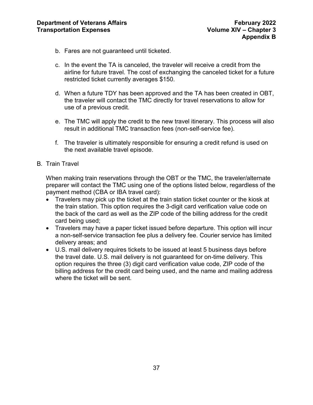- b. Fares are not guaranteed until ticketed.
- c. In the event the TA is canceled, the traveler will receive a credit from the airline for future travel. The cost of exchanging the canceled ticket for a future restricted ticket currently averages \$150.
- d. When a future TDY has been approved and the TA has been created in OBT, the traveler will contact the TMC directly for travel reservations to allow for use of a previous credit.
- e. The TMC will apply the credit to the new travel itinerary. This process will also result in additional TMC transaction fees (non-self-service fee).
- f. The traveler is ultimately responsible for ensuring a credit refund is used on the next available travel episode.
- B. Train Travel

When making train reservations through the OBT or the TMC, the traveler/alternate preparer will contact the TMC using one of the options listed below, regardless of the payment method (CBA or IBA travel card):

- Travelers may pick up the ticket at the train station ticket counter or the kiosk at the train station. This option requires the 3-digit card verification value code on the back of the card as well as the ZIP code of the billing address for the credit card being used;
- Travelers may have a paper ticket issued before departure. This option will incur a non-self-service transaction fee plus a delivery fee. Courier service has limited delivery areas; and
- U.S. mail delivery requires tickets to be issued at least 5 business days before the travel date. U.S. mail delivery is not guaranteed for on-time delivery. This option requires the three (3) digit card verification value code, ZIP code of the billing address for the credit card being used, and the name and mailing address where the ticket will be sent.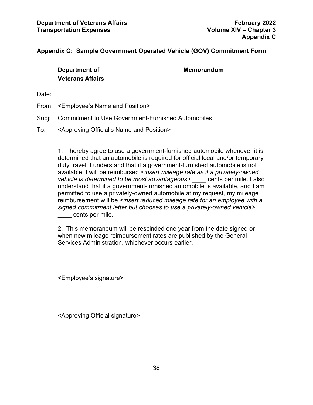#### <span id="page-38-0"></span>**Appendix C: Sample Government Operated Vehicle (GOV) Commitment Form**

**Department of Memorandum Veterans Affairs**

Date:

- From: <Employee's Name and Position>
- Subj: Commitment to Use Government-Furnished Automobiles
- To: <Approving Official's Name and Position>

1. I hereby agree to use a government-furnished automobile whenever it is determined that an automobile is required for official local and/or temporary duty travel. I understand that if a government-furnished automobile is not available; I will be reimbursed *<insert mileage rate as if a privately-owned vehicle is determined to be most advantageous>* \_\_\_\_ cents per mile. I also understand that if a government-furnished automobile is available, and I am permitted to use a privately-owned automobile at my request, my mileage reimbursement will be *<insert reduced mileage rate for an employee with a signed commitment letter but chooses to use a privately-owned vehicle>*  \_\_\_\_ cents per mile.

2. This memorandum will be rescinded one year from the date signed or when new mileage reimbursement rates are published by the General Services Administration, whichever occurs earlier.

<Employee's signature>

<Approving Official signature>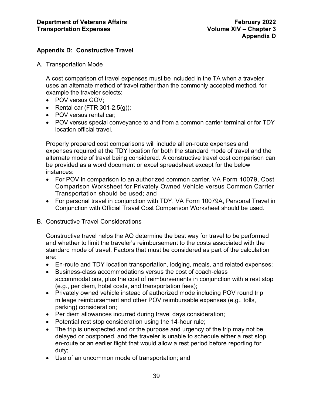# <span id="page-39-0"></span>**Appendix D: Constructive Travel**

A. Transportation Mode

A cost comparison of travel expenses must be included in the TA when a traveler uses an alternate method of travel rather than the commonly accepted method, for example the traveler selects:

- POV versus GOV;
- Rental car (FTR 301-2.5(g));
- POV versus rental car;
- POV versus special conveyance to and from a common carrier terminal or for TDY location official travel.

Properly prepared cost comparisons will include all en-route expenses and expenses required at the TDY location for both the standard mode of travel and the alternate mode of travel being considered. A constructive travel cost comparison can be provided as a word document or excel spreadsheet except for the below instances:

- For POV in comparison to an authorized common carrier, VA Form 10079, Cost Comparison Worksheet for Privately Owned Vehicle versus Common Carrier Transportation should be used; and
- For personal travel in conjunction with TDY, VA Form 10079A, Personal Travel in Conjunction with Official Travel Cost Comparison Worksheet should be used.
- B. Constructive Travel Considerations

Constructive travel helps the AO determine the best way for travel to be performed and whether to limit the traveler's reimbursement to the costs associated with the standard mode of travel. Factors that must be considered as part of the calculation are:

- En-route and TDY location transportation, lodging, meals, and related expenses;
- Business-class accommodations versus the cost of coach-class accommodations, plus the cost of reimbursements in conjunction with a rest stop (e.g., per diem, hotel costs, and transportation fees);
- Privately owned vehicle instead of authorized mode including POV round trip mileage reimbursement and other POV reimbursable expenses (e.g., tolls, parking) consideration;
- Per diem allowances incurred during travel days consideration;
- Potential rest stop consideration using the 14-hour rule;
- The trip is unexpected and or the purpose and urgency of the trip may not be delayed or postponed, and the traveler is unable to schedule either a rest stop en-route or an earlier flight that would allow a rest period before reporting for duty;
- Use of an uncommon mode of transportation; and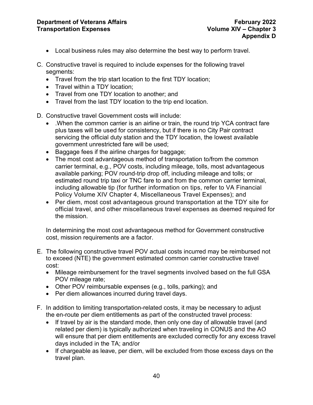- Local business rules may also determine the best way to perform travel.
- C. Constructive travel is required to include expenses for the following travel segments:
	- Travel from the trip start location to the first TDY location;
	- Travel within a TDY location;
	- Travel from one TDY location to another; and
	- Travel from the last TDY location to the trip end location.
- D. Constructive travel Government costs will include:
	- .When the common carrier is an airline or train, the round trip YCA contract fare plus taxes will be used for consistency, but if there is no City Pair contract servicing the official duty station and the TDY location, the lowest available government unrestricted fare will be used;
	- Baggage fees if the airline charges for baggage;
	- The most cost advantageous method of transportation to/from the common carrier terminal, e.g., POV costs, including mileage, tolls, most advantageous available parking; POV round-trip drop off, including mileage and tolls; or estimated round trip taxi or TNC fare to and from the common carrier terminal, including allowable tip (for further information on tips, refer to VA Financial Policy Volume XIV Chapter 4, Miscellaneous Travel Expenses); and
	- Per diem, most cost advantageous ground transportation at the TDY site for official travel, and other miscellaneous travel expenses as deemed required for the mission.

In determining the most cost advantageous method for Government constructive cost, mission requirements are a factor.

- E. The following constructive travel POV actual costs incurred may be reimbursed not to exceed (NTE) the government estimated common carrier constructive travel cost:
	- Mileage reimbursement for the travel segments involved based on the full GSA POV mileage rate;
	- Other POV reimbursable expenses (e.g., tolls, parking); and
	- Per diem allowances incurred during travel days.
- F. In addition to limiting transportation-related costs, it may be necessary to adjust the en-route per diem entitlements as part of the constructed travel process:
	- If travel by air is the standard mode, then only one day of allowable travel (and related per diem) is typically authorized when traveling in CONUS and the AO will ensure that per diem entitlements are excluded correctly for any excess travel days included in the TA; and/or
	- If chargeable as leave, per diem, will be excluded from those excess days on the travel plan.